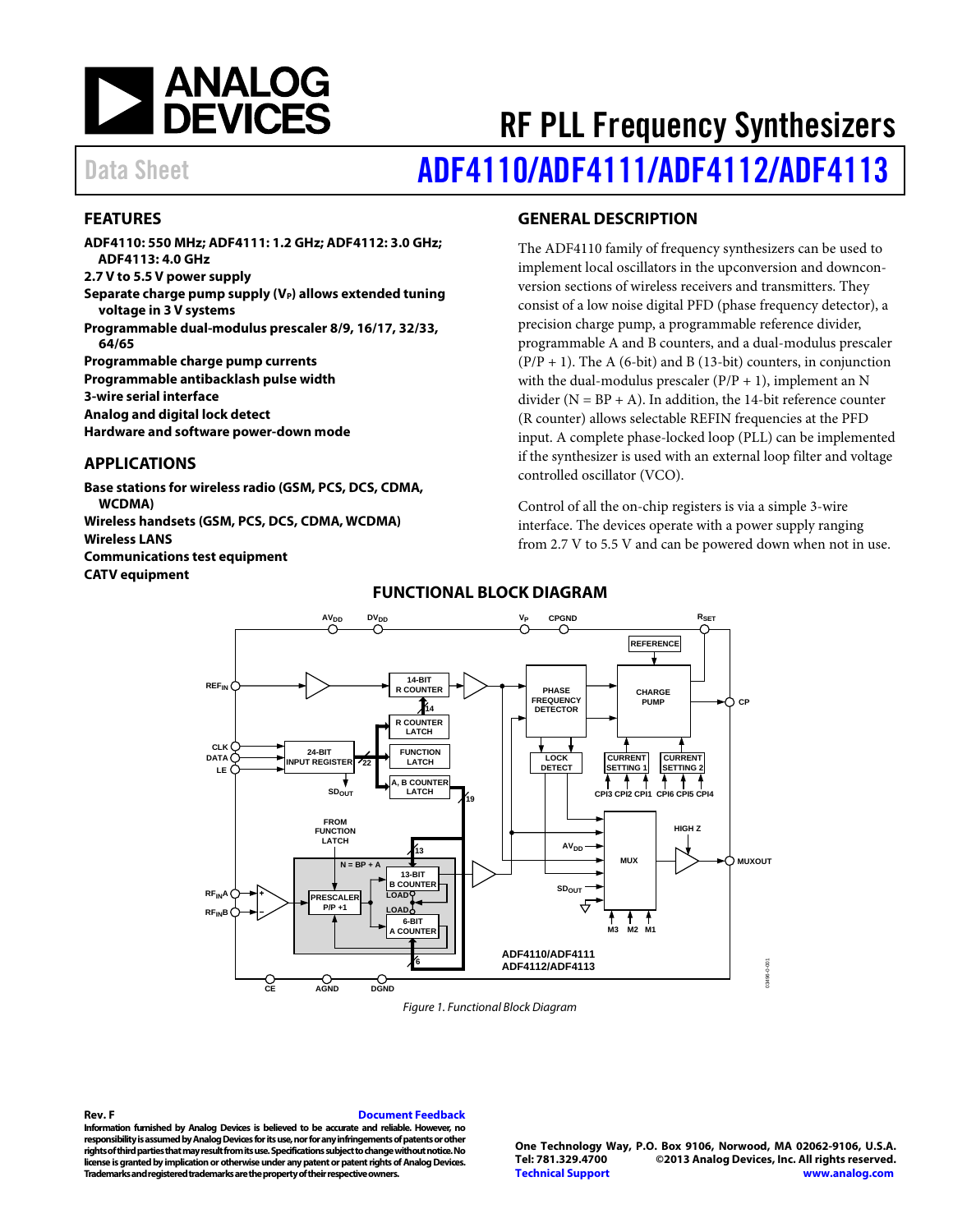

# RF PLL Frequency Synthesizers Data Sheet **[ADF4110/](www.analog.com/ADF4110)[ADF4111/](www.analog.com/ADF4111)[ADF4112](www.analog.com/ADF4112)[/ADF4113](www.analog.com/ADF4113)**

### <span id="page-0-0"></span>**FEATURES**

**ADF4110: 550 MHz; ADF4111: 1.2 GHz; ADF4112: 3.0 GHz; ADF4113: 4.0 GHz 2.7 V to 5.5 V power supply** Separate charge pump supply (V<sub>P</sub>) allows extended **tuning voltage in 3 V systems Programmable dual-modulus prescaler 8/9, 16/17, 32/33, 64/65 Programmable charge pump currents Programmable antibacklash pulse width 3-wire serial interface Analog and digital lock detect Hardware and software power-down mode**

#### <span id="page-0-1"></span>**APPLICATIONS**

**Base stations for wireless radio (GSM, PCS, DCS, CDMA, WCDMA) Wireless handsets (GSM, PCS, DCS, CDMA, WCDMA) Wireless LANS**

**Communications test equipment**

<span id="page-0-3"></span>**CATV equipment**

#### <span id="page-0-2"></span>**GENERAL DESCRIPTION**

The ADF4110 family of frequency synthesizers can be used to implement local oscillators in the upconversion and downconversion sections of wireless receivers and transmitters. They consist of a low noise digital PFD (phase frequency detector), a precision charge pump, a programmable reference divider, programmable A and B counters, and a dual-modulus prescaler  $(P/P + 1)$ . The A (6-bit) and B (13-bit) counters, in conjunction with the dual-modulus prescaler  $(P/P + 1)$ , implement an N divider ( $N = BP + A$ ). In addition, the 14-bit reference counter (R counter) allows selectable REFIN frequencies at the PFD input. A complete phase-locked loop (PLL) can be implemented if the synthesizer is used with an external loop filter and voltage controlled oscillator (VCO).

Control of all the on-chip registers is via a simple 3-wire interface. The devices operate with a power supply ranging from 2.7 V to 5.5 V and can be powered down when not in use.



### **FUNCTIONAL BLOCK DIAGRAM**

*Figure 1. Functional Block Diagram*

**Rev. F [Document Feedback](https://form.analog.com/Form_Pages/feedback/documentfeedback.aspx?doc=ADF4110_4111_4112_4113.pdf&product=ADF4110/ADF4111/ADF4112/ADF4113&rev=F)**

**Information furnished by Analog Devices is believed to be accurate and reliable. However, no responsibility is assumed by Analog Devices for its use, nor for any infringements of patents or other rights of third parties that may result from its use. Specifications subject to change without notice. No license is granted by implication or otherwise under any patent or patent rights of Analog Devices. Trademarks and registered trademarks are the property of their respective owners.**

**One Technology Way, P.O. Box 9106, Norwood, MA 02062-9106, U.S.A. Tel: 781.329.4700 ©2013 Analog Devices, Inc. All rights reserved. [Technical Support](http://www.analog.com/en/content/technical_support_page/fca.html) [www.analog.com](http://www.analog.com/)**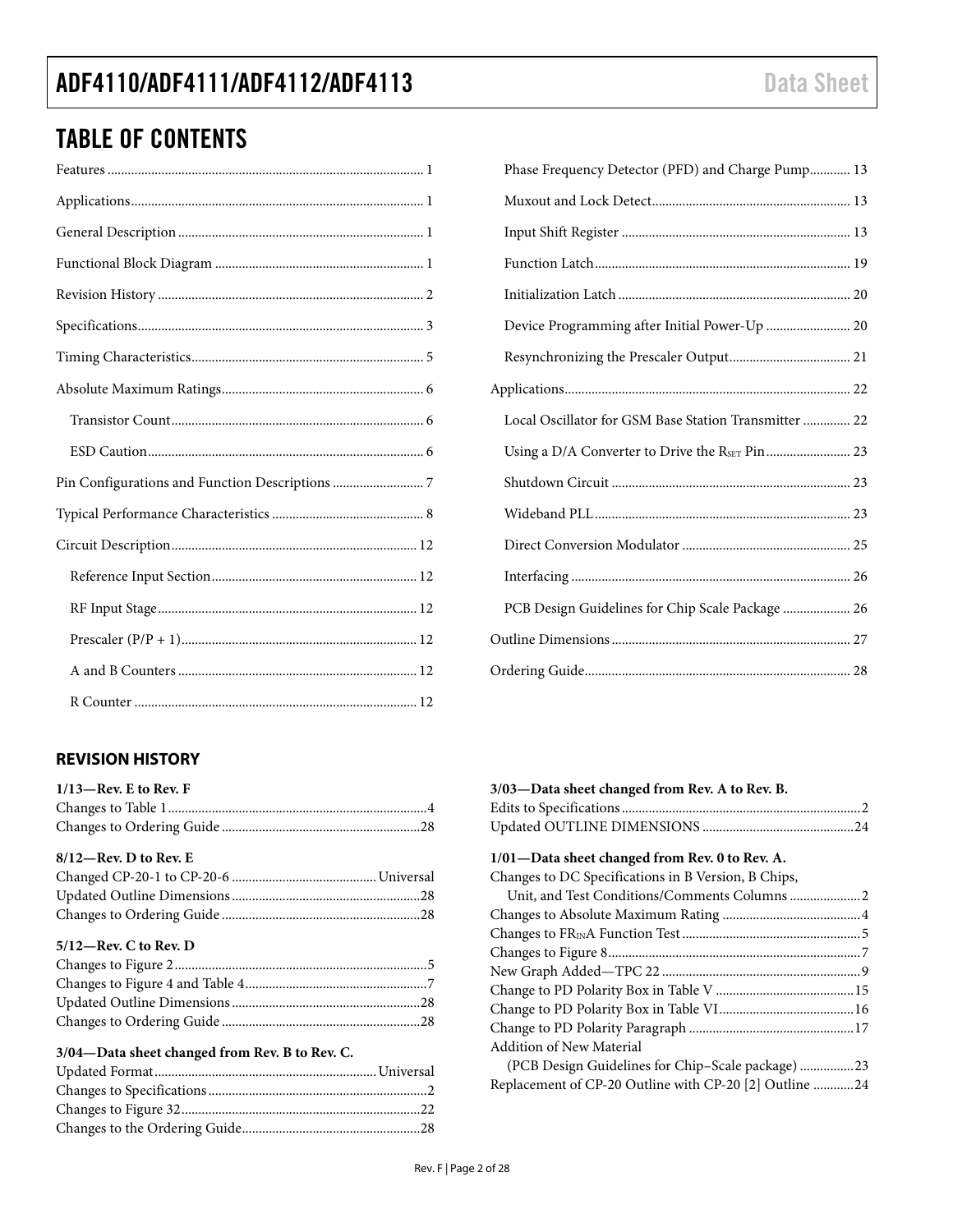# TABLE OF CONTENTS

## <span id="page-1-0"></span>**REVISION HISTORY**

| $1/13$ —Rev. E to Rev. F |  |
|--------------------------|--|
|                          |  |
|                          |  |
|                          |  |

| $8/12$ —Rev. D to Rev. E |  |
|--------------------------|--|
|                          |  |
|                          |  |
|                          |  |

#### **5/12—Rev. C to Rev. D**

### **3/04—Data sheet changed from Rev. B to Rev. C.**

| Phase Frequency Detector (PFD) and Charge Pump 13     |  |
|-------------------------------------------------------|--|
|                                                       |  |
|                                                       |  |
|                                                       |  |
|                                                       |  |
| Device Programming after Initial Power-Up  20         |  |
|                                                       |  |
|                                                       |  |
| Local Oscillator for GSM Base Station Transmitter  22 |  |
|                                                       |  |
|                                                       |  |
|                                                       |  |
|                                                       |  |
|                                                       |  |
| PCB Design Guidelines for Chip Scale Package  26      |  |
|                                                       |  |
|                                                       |  |
|                                                       |  |

| 3/03—Data sheet changed from Rev. A to Rev. B.         |  |
|--------------------------------------------------------|--|
|                                                        |  |
|                                                        |  |
| 1/01—Data sheet changed from Rev. 0 to Rev. A.         |  |
| Changes to DC Specifications in B Version, B Chips,    |  |
| Unit, and Test Conditions/Comments Columns  2          |  |
|                                                        |  |
|                                                        |  |
|                                                        |  |
|                                                        |  |
|                                                        |  |
|                                                        |  |
|                                                        |  |
| Addition of New Material                               |  |
| (PCB Design Guidelines for Chip-Scale package) 23      |  |
| Replacement of CP-20 Outline with CP-20 [2] Outline 24 |  |
|                                                        |  |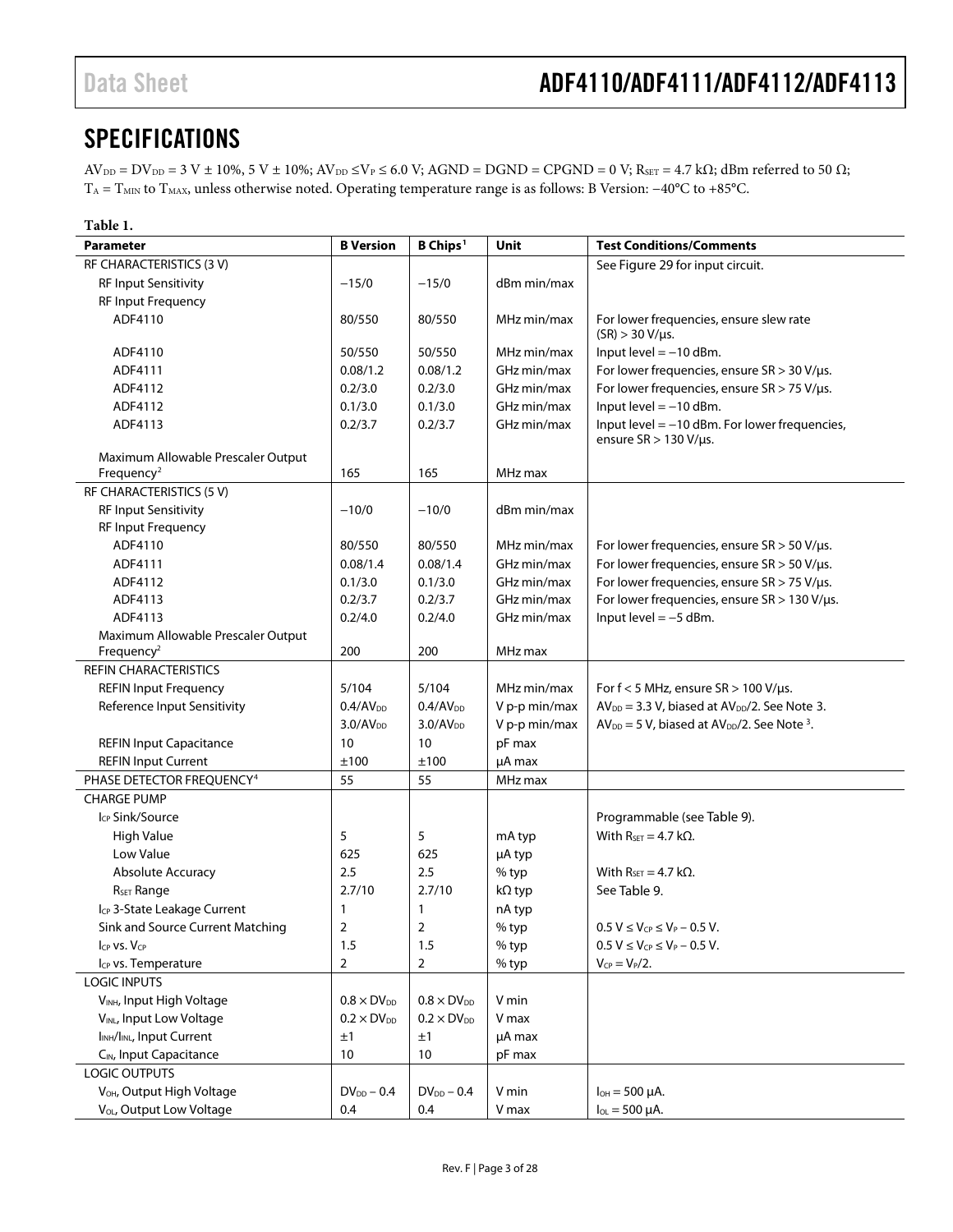# <span id="page-2-0"></span>**SPECIFICATIONS**

 $AV_{DD} = DV_{DD} = 3$  V ± 10%, 5 V ± 10%;  $AV_{DD} \leq V_P \leq 6.0$  V;  $AGND = DGND = CPGND = 0$  V;  $R_{SET} = 4.7$  k $\Omega$ ; dBm referred to 50  $\Omega$ ; TA = TMIN to TMAX, unless otherwise noted. Operating temperature range is as follows: B Version: −40°C to +85°C.

<span id="page-2-1"></span>

| Table 1.                                           |                      |                             |               |                                                                   |
|----------------------------------------------------|----------------------|-----------------------------|---------------|-------------------------------------------------------------------|
| <b>Parameter</b>                                   | <b>B</b> Version     | <b>B</b> Chips <sup>1</sup> | Unit          | <b>Test Conditions/Comments</b>                                   |
| RF CHARACTERISTICS (3 V)                           |                      |                             |               | See Figure 29 for input circuit.                                  |
| <b>RF Input Sensitivity</b>                        | $-15/0$              | $-15/0$                     | dBm min/max   |                                                                   |
| RF Input Frequency                                 |                      |                             |               |                                                                   |
| ADF4110                                            | 80/550               | 80/550                      | MHz min/max   | For lower frequencies, ensure slew rate<br>$(SR) > 30 V/\mu s$ .  |
| ADF4110                                            | 50/550               | 50/550                      | MHz min/max   | Input level $= -10$ dBm.                                          |
| ADF4111                                            | 0.08/1.2             | 0.08/1.2                    | GHz min/max   | For lower frequencies, ensure SR > 30 V/µs.                       |
| ADF4112                                            | 0.2/3.0              | 0.2/3.0                     | GHz min/max   | For lower frequencies, ensure $SR > 75$ V/ $\mu s$ .              |
| ADF4112                                            | 0.1/3.0              | 0.1/3.0                     | GHz min/max   | Input level $= -10$ dBm.                                          |
| ADF4113                                            | 0.2/3.7              | 0.2/3.7                     | GHz min/max   | Input level $=$ -10 dBm. For lower frequencies,                   |
|                                                    |                      |                             |               | ensure $SR > 130 V/\mu s$ .                                       |
| Maximum Allowable Prescaler Output                 |                      |                             |               |                                                                   |
| Frequency <sup>2</sup>                             | 165                  | 165                         | MHz max       |                                                                   |
| RF CHARACTERISTICS (5 V)                           |                      |                             |               |                                                                   |
| <b>RF Input Sensitivity</b>                        | $-10/0$              | $-10/0$                     | dBm min/max   |                                                                   |
| <b>RF Input Frequency</b>                          |                      |                             |               |                                                                   |
| ADF4110                                            | 80/550               | 80/550                      | MHz min/max   | For lower frequencies, ensure $SR > 50 V/\mu s$ .                 |
| ADF4111                                            | 0.08/1.4             | 0.08/1.4                    | GHz min/max   | For lower frequencies, ensure $SR > 50$ V/ $\mu s$ .              |
| ADF4112                                            | 0.1/3.0              | 0.1/3.0                     | GHz min/max   | For lower frequencies, ensure SR > 75 V/µs.                       |
| ADF4113                                            | 0.2/3.7              | 0.2/3.7                     | GHz min/max   | For lower frequencies, ensure SR > 130 V/µs.                      |
| ADF4113                                            | 0.2/4.0              | 0.2/4.0                     | GHz min/max   | Input level $=-5$ dBm.                                            |
| Maximum Allowable Prescaler Output                 |                      |                             |               |                                                                   |
| Frequency <sup>2</sup>                             | 200                  | 200                         | MHz max       |                                                                   |
| <b>REFIN CHARACTERISTICS</b>                       |                      |                             |               |                                                                   |
| <b>REFIN Input Frequency</b>                       | 5/104                | 5/104                       | MHz min/max   | For $f < 5$ MHz, ensure $SR > 100$ V/ $\mu s$ .                   |
| Reference Input Sensitivity                        | 0.4/AV <sub>DD</sub> | 0.4/AV <sub>DD</sub>        | V p-p min/max | $AV_{DD} = 3.3 V$ , biased at $AV_{DD}/2$ . See Note 3.           |
|                                                    | $3.0/AV_{DD}$        | $3.0/AV_{DD}$               | V p-p min/max | $AV_{DD} = 5 V$ , biased at $AV_{DD}/2$ . See Note <sup>3</sup> . |
| <b>REFIN Input Capacitance</b>                     | 10                   | 10                          | pF max        |                                                                   |
| <b>REFIN Input Current</b>                         | ±100                 | ±100                        | µA max        |                                                                   |
| PHASE DETECTOR FREQUENCY <sup>4</sup>              | 55                   | 55                          | MHz max       |                                                                   |
| <b>CHARGE PUMP</b>                                 |                      |                             |               |                                                                   |
| Icp Sink/Source                                    |                      |                             |               | Programmable (see Table 9).                                       |
| <b>High Value</b>                                  | 5                    | 5                           | mA typ        | With $R_{\text{SFT}} = 4.7 \text{ k}\Omega$ .                     |
| Low Value                                          | 625                  | 625                         | µA typ        |                                                                   |
| Absolute Accuracy                                  | 2.5                  | 2.5                         | % typ         | With $R_{SET} = 4.7$ k $\Omega$ .                                 |
| R <sub>SET</sub> Range                             | 2.7/10               | 2.7/10                      | kΩ typ        | See Table 9.                                                      |
|                                                    |                      |                             |               |                                                                   |
| Icp 3-State Leakage Current                        | 1                    | 1                           | nA typ        |                                                                   |
| Sink and Source Current Matching                   | 2                    | $\overline{2}$              | $%$ typ       | $0.5 V \le V_{CP} \le V_P - 0.5 V$ .                              |
| Icp VS. Vcp                                        | 1.5                  | 1.5                         | % typ         | $0.5 V \leq V_{CP} \leq V_P - 0.5 V$ .                            |
| Icp vs. Temperature                                | 2                    | 2                           | % typ         | $V_{CP} = V_P/2$ .                                                |
| <b>LOGIC INPUTS</b>                                |                      |                             |               |                                                                   |
| V <sub>INH</sub> , Input High Voltage              | $0.8 \times DV_{DD}$ | $0.8 \times DV_{DD}$        | V min         |                                                                   |
| VINL, Input Low Voltage                            | $0.2 \times DV_{DD}$ | $0.2 \times DV_{DD}$        | V max         |                                                                   |
| I <sub>INH</sub> /I <sub>INL</sub> , Input Current | ±1                   | ±1                          | µA max        |                                                                   |
| C <sub>IN</sub> , Input Capacitance                | 10                   | 10                          | pF max        |                                                                   |
| <b>LOGIC OUTPUTS</b>                               |                      |                             |               |                                                                   |
| V <sub>OH</sub> , Output High Voltage              | $DV_{DD}$ – 0.4      | $DV_{DD}$ – 0.4             | V min         | $I_{OH} = 500 \mu A$ .                                            |
| V <sub>OL</sub> , Output Low Voltage               | 0.4                  | 0.4                         | V max         | $I_{OL} = 500 \mu A$ .                                            |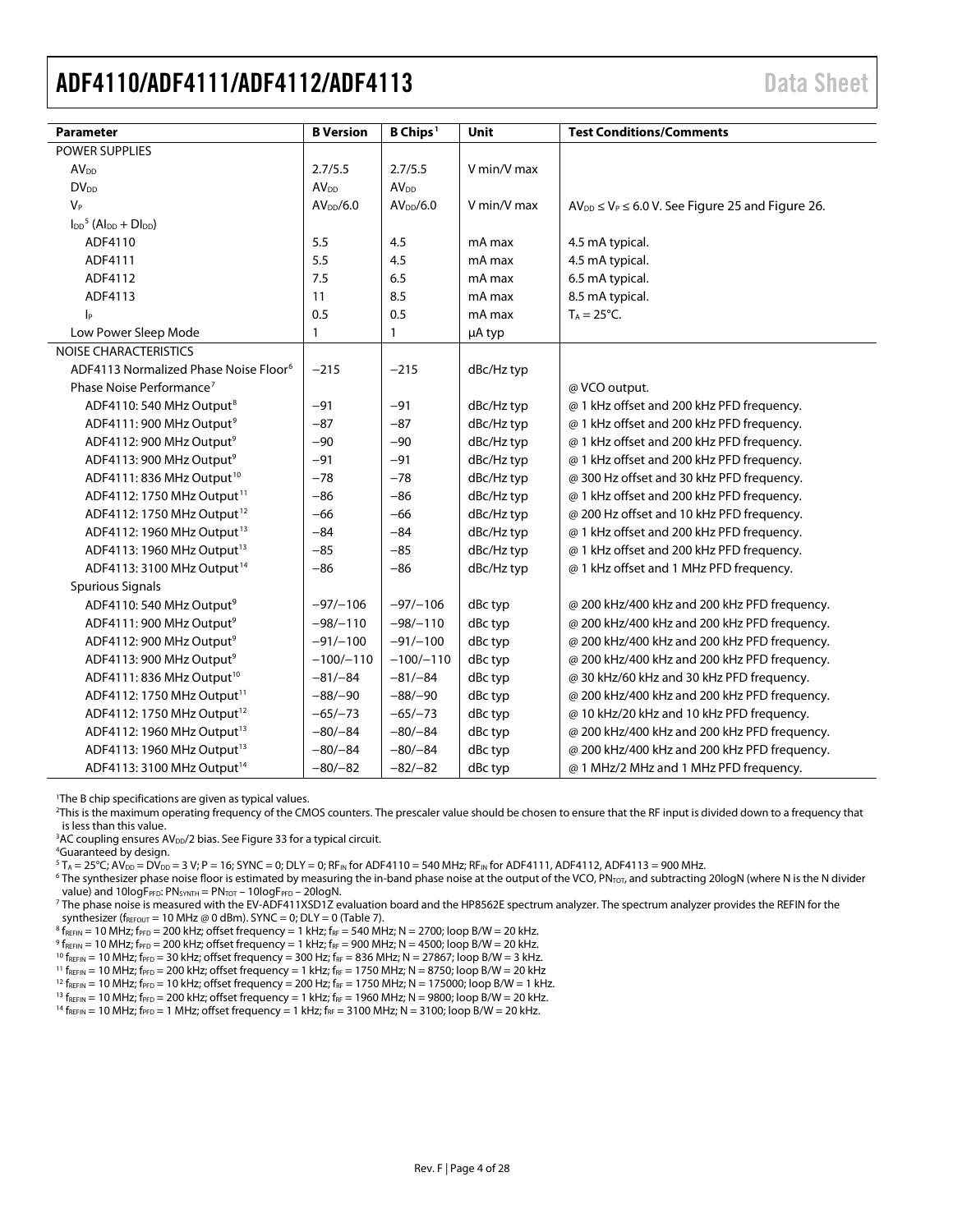<span id="page-3-1"></span><span id="page-3-0"></span>

| <b>Parameter</b>                                  | <b>B</b> Version       | B Chips <sup>1</sup>   | Unit        | <b>Test Conditions/Comments</b>                             |
|---------------------------------------------------|------------------------|------------------------|-------------|-------------------------------------------------------------|
| POWER SUPPLIES                                    |                        |                        |             |                                                             |
| AV <sub>DD</sub>                                  | 2.7/5.5                | 2.7/5.5                | V min/V max |                                                             |
| <b>DV<sub>DD</sub></b>                            | <b>AV<sub>DD</sub></b> | <b>AV<sub>DD</sub></b> |             |                                                             |
| $V_P$                                             | AV <sub>DD</sub> /6.0  | AV <sub>DD</sub> /6.0  | V min/V max | $AV_{DD} \leq V_P \leq 6.0$ V. See Figure 25 and Figure 26. |
| $I_{DD}^5$ (Al <sub>pp</sub> + Dl <sub>pp</sub> ) |                        |                        |             |                                                             |
| ADF4110                                           | 5.5                    | 4.5                    | mA max      | 4.5 mA typical.                                             |
| ADF4111                                           | 5.5                    | 4.5                    | mA max      | 4.5 mA typical.                                             |
| ADF4112                                           | 7.5                    | 6.5                    | mA max      | 6.5 mA typical.                                             |
| ADF4113                                           | 11                     | 8.5                    | mA max      | 8.5 mA typical.                                             |
| $ _{\mathsf{P}}$                                  | 0.5                    | 0.5                    | mA max      | $T_A = 25$ °C.                                              |
| Low Power Sleep Mode                              | 1                      | 1                      | µA typ      |                                                             |
| <b>NOISE CHARACTERISTICS</b>                      |                        |                        |             |                                                             |
| ADF4113 Normalized Phase Noise Floor <sup>6</sup> | $-215$                 | $-215$                 | dBc/Hz typ  |                                                             |
| Phase Noise Performance <sup>7</sup>              |                        |                        |             | @ VCO output.                                               |
| ADF4110: 540 MHz Output <sup>8</sup>              | $-91$                  | $-91$                  | dBc/Hz typ  | @ 1 kHz offset and 200 kHz PFD frequency.                   |
| ADF4111: 900 MHz Output <sup>9</sup>              | $-87$                  | $-87$                  | dBc/Hz typ  | @ 1 kHz offset and 200 kHz PFD frequency.                   |
| ADF4112: 900 MHz Output <sup>9</sup>              | $-90$                  | $-90$                  | dBc/Hz typ  | @ 1 kHz offset and 200 kHz PFD frequency.                   |
| ADF4113: 900 MHz Output <sup>9</sup>              | $-91$                  | $-91$                  | dBc/Hz typ  | @ 1 kHz offset and 200 kHz PFD frequency.                   |
| ADF4111: 836 MHz Output <sup>10</sup>             | $-78$                  | $-78$                  | dBc/Hz typ  | @ 300 Hz offset and 30 kHz PFD frequency.                   |
| ADF4112: 1750 MHz Output <sup>11</sup>            | $-86$                  | $-86$                  | dBc/Hz typ  | @ 1 kHz offset and 200 kHz PFD frequency.                   |
| ADF4112: 1750 MHz Output <sup>12</sup>            | $-66$                  | $-66$                  | dBc/Hz typ  | @ 200 Hz offset and 10 kHz PFD frequency.                   |
| ADF4112: 1960 MHz Output <sup>13</sup>            | $-84$                  | $-84$                  | dBc/Hz typ  | @ 1 kHz offset and 200 kHz PFD frequency.                   |
| ADF4113: 1960 MHz Output <sup>13</sup>            | $-85$                  | $-85$                  | dBc/Hz typ  | @ 1 kHz offset and 200 kHz PFD frequency.                   |
| ADF4113: 3100 MHz Output <sup>14</sup>            | $-86$                  | $-86$                  | dBc/Hz typ  | @ 1 kHz offset and 1 MHz PFD frequency.                     |
| <b>Spurious Signals</b>                           |                        |                        |             |                                                             |
| ADF4110: 540 MHz Output <sup>9</sup>              | $-97/-106$             | $-97/-106$             | dBc typ     | @ 200 kHz/400 kHz and 200 kHz PFD frequency.                |
| ADF4111: 900 MHz Output <sup>9</sup>              | $-98/-110$             | $-98/-110$             | dBc typ     | @ 200 kHz/400 kHz and 200 kHz PFD frequency.                |
| ADF4112: 900 MHz Output <sup>9</sup>              | $-91/-100$             | $-91/-100$             | dBc typ     | @ 200 kHz/400 kHz and 200 kHz PFD frequency.                |
| ADF4113: 900 MHz Output <sup>9</sup>              | $-100/-110$            | $-100/-110$            | dBc typ     | @ 200 kHz/400 kHz and 200 kHz PFD frequency.                |
| ADF4111: 836 MHz Output <sup>10</sup>             | $-81/-84$              | $-81/-84$              | dBc typ     | @ 30 kHz/60 kHz and 30 kHz PFD frequency.                   |
| ADF4112: 1750 MHz Output <sup>11</sup>            | $-88/-90$              | $-88/-90$              | dBc typ     | @ 200 kHz/400 kHz and 200 kHz PFD frequency.                |
| ADF4112: 1750 MHz Output <sup>12</sup>            | $-65/-73$              | $-65/-73$              | dBc typ     | @ 10 kHz/20 kHz and 10 kHz PFD frequency.                   |
| ADF4112: 1960 MHz Output <sup>13</sup>            | $-80/-84$              | $-80/-84$              | dBc typ     | @ 200 kHz/400 kHz and 200 kHz PFD frequency.                |
| ADF4113: 1960 MHz Output <sup>13</sup>            | $-80/-84$              | $-80/-84$              | dBc typ     | @ 200 kHz/400 kHz and 200 kHz PFD frequency.                |
| ADF4113: 3100 MHz Output <sup>14</sup>            | $-80/-82$              | $-82/-82$              | dBc typ     | @ 1 MHz/2 MHz and 1 MHz PFD frequency.                      |

<span id="page-3-6"></span><span id="page-3-5"></span><span id="page-3-4"></span><span id="page-3-3"></span><span id="page-3-2"></span>1 The B chip specifications are given as typical values.

2 This is the maximum operating frequency of the CMOS counters. The prescaler value should be chosen to ensure that the RF input is divided down to a frequency that is less than this value.

<sup>3</sup>AC coupling ensures AV<sub>DD</sub>/2 bias. See Figure 33 [f](#page-21-2)or a typical circuit.<br><sup>4G</sup>Uaranteed by design

Guaranteed by design.

 $5 T_A = 25^{\circ}$ C; AV<sub>DD</sub> = DV<sub>DD</sub> = 3 V; P = 16; SYNC = 0; DLY = 0; RF<sub>IN</sub> for ADF4110 = 540 MHz; RF<sub>IN</sub> for ADF4111, ADF4112, ADF4113 = 900 MHz.

 $6$  The synthesizer phase noise floor is estimated by measuring the in-band phase noise at the output of the VCO, PN<sub>TOT</sub>, and subtracting 20logN (where N is the N divider value) and  $10\log F_{\text{PP}}$ : PN<sub>SYNTH</sub> = PN<sub>TOT</sub> –  $10\log F_{\text{PP}}$  –  $20\log N$ .

<sup>7</sup> The phase noise is measured with the EV-ADF411XSD1Z evaluation board and the HP8562E spectrum analyzer. The spectrum analyzer provides the REFIN for the synthesizer ( $f_{REFOUT}$  = 10 MHz @ 0 dBm). SYNC = 0; DLY = 0 [\(Table 7\)](#page-14-0).

 $8 f_{REFIN} = 10 MHz$ ; f $_{PFD} = 200 kHz$ ; offset frequency = 1 kHz; f $_{RF} = 540 MHz$ ; N = 2700; loop B/W = 20 kHz.

 $9 f_{REFIN} = 10 MHz$ ; f $_{PFD} = 200 kHz$ ; offset frequency = 1 kHz; f $_{RF} = 900 MHz$ ; N = 4500; loop B/W = 20 kHz.

<sup>10</sup>  $f_{REFIN}$  = 10 MHz;  $f_{PFD}$  = 30 kHz; offset frequency = 300 Hz;  $f_{RF}$  = 836 MHz; N = 27867; loop B/W = 3 kHz.

 $^{11}$  f<sub>REFIN</sub> = 10 MHz; f<sub>PFD</sub> = 200 kHz; offset frequency = 1 kHz; f<sub>RF</sub> = 1750 MHz; N = 8750; loop B/W = 20 kHz

 $12 f_{REFIN} = 10 MHz$ ; f $_{PFD} = 10 kHz$ ; offset frequency = 200 Hz; f $_{RF} = 1750 MHz$ ; N = 175000; loop B/W = 1 kHz.

 $13 f_{REFIN} = 10 MHz$ ;  $f_{PFD} = 200 kHz$ ; offset frequency = 1 kHz;  $f_{RF} = 1960 MHz$ ; N = 9800; loop B/W = 20 kHz. <sup>14</sup> f<sub>REFIN</sub> = 10 MHz; f<sub>PFD</sub> = 1 MHz; offset frequency = 1 kHz; f<sub>RF</sub> = 3100 MHz; N = 3100; loop B/W = 20 kHz.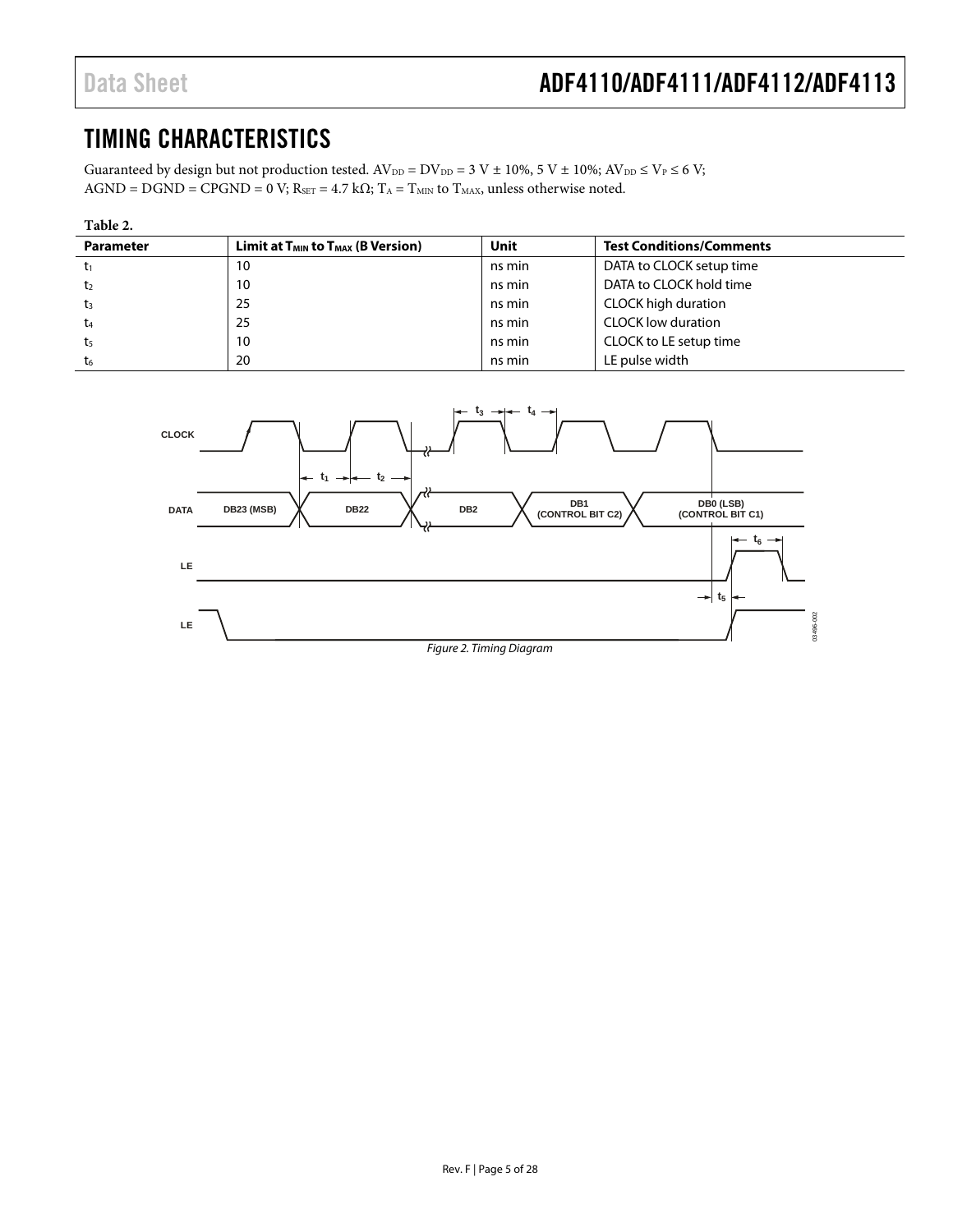# <span id="page-4-0"></span>TIMING CHARACTERISTICS

Guaranteed by design but not production tested.  $AV_{DD} = DV_{DD} = 3$  V  $\pm$  10%, 5 V  $\pm$  10%;  $AV_{DD} \leq V_P \leq 6$  V;  $AGND = DGND = CPGND = 0 V; R<sub>SET</sub> = 4.7 kΩ; T<sub>A</sub> = T<sub>MIN</sub> to T<sub>MAX</sub>, unless otherwise noted.$ 

| Table 2.         |                                               |        |                                 |  |
|------------------|-----------------------------------------------|--------|---------------------------------|--|
| <b>Parameter</b> | $Limit$ at $T_{MIN}$ to $T_{MAX}$ (B Version) | Unit   | <b>Test Conditions/Comments</b> |  |
|                  | 10                                            | ns min | DATA to CLOCK setup time        |  |
| t2               | 10                                            | ns min | DATA to CLOCK hold time         |  |
| t3               | 25                                            | ns min | CLOCK high duration             |  |
| t4               | 25                                            | ns min | <b>CLOCK low duration</b>       |  |
| t5               | 10                                            | ns min | CLOCK to LE setup time          |  |
| t6               | 20                                            | ns min | LE pulse width                  |  |

<span id="page-4-3"></span><span id="page-4-2"></span><span id="page-4-1"></span>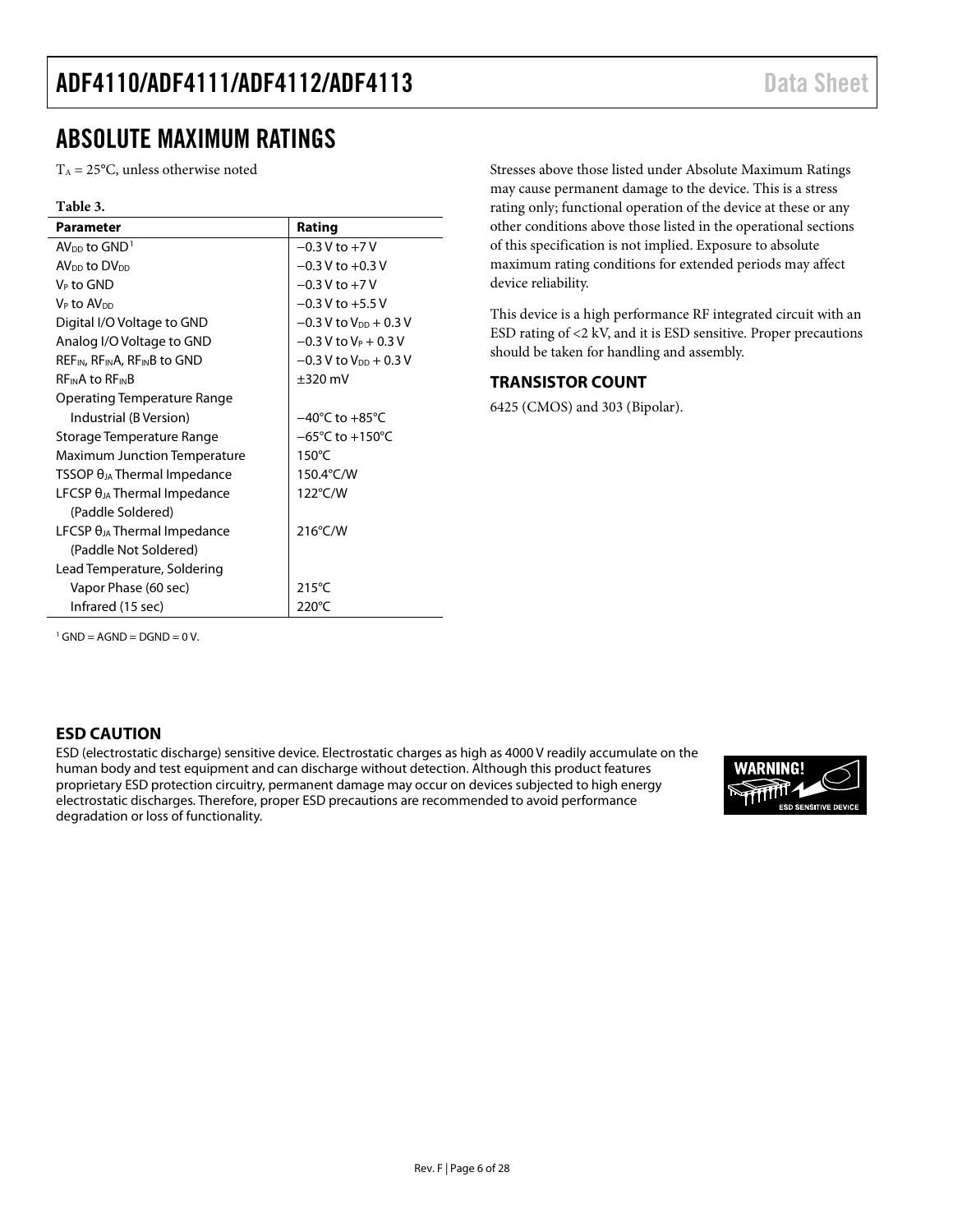# <span id="page-5-0"></span>ABSOLUTE MAXIMUM RATINGS

 $T_A = 25$ °C, unless otherwise noted

#### **Table 3.**

| <b>Parameter</b>                            | Rating                              |
|---------------------------------------------|-------------------------------------|
| $AV_{DD}$ to $GND1$                         | $-0.3 V$ to $+7 V$                  |
| AV <sub>DD</sub> to DV <sub>DD</sub>        | $-0.3 V$ to $+0.3 V$                |
| V <sub>P</sub> to GND                       | $-0.3$ V to $+7$ V                  |
| V <sub>P</sub> to AV <sub>DD</sub>          | $-0.3 V$ to $+5.5 V$                |
| Digital I/O Voltage to GND                  | $-0.3$ V to V <sub>DD</sub> + 0.3 V |
| Analog I/O Voltage to GND                   | $-0.3$ V to $V_P + 0.3$ V           |
| $REF_{IN}$ , $RF_{IN}A$ , $RF_{IN}B$ to GND | $-0.3$ V to V <sub>DD</sub> + 0.3 V |
| <b>REINA to REINB</b>                       | $\pm 320$ mV                        |
| Operating Temperature Range                 |                                     |
| Industrial (B Version)                      | $-40^{\circ}$ C to $+85^{\circ}$ C  |
| Storage Temperature Range                   | $-65^{\circ}$ C to $+150^{\circ}$ C |
| <b>Maximum Junction Temperature</b>         | $150^{\circ}$ C                     |
| $TSSOP \theta_{JA}$ Thermal Impedance       | 150.4°C/W                           |
| LFCSP $\theta_{JA}$ Thermal Impedance       | 122°C/W                             |
| (Paddle Soldered)                           |                                     |
| LFCSP $\theta_{JA}$ Thermal Impedance       | $216^{\circ}$ C/W                   |
| (Paddle Not Soldered)                       |                                     |
| Lead Temperature, Soldering                 |                                     |
| Vapor Phase (60 sec)                        | $215^{\circ}$ C                     |
| Infrared (15 sec)                           | 220°C                               |

Stresses above those listed under Absolute Maximum Ratings may cause permanent damage to the device. This is a stress rating only; functional operation of the device at these or any other conditions above those listed in the operational sections of this specification is not implied. Exposure to absolute maximum rating conditions for extended periods may affect device reliability.

This device is a high performance RF integrated circuit with an ESD rating of <2 kV, and it is ESD sensitive. Proper precautions should be taken for handling and assembly.

#### <span id="page-5-1"></span>**TRANSISTOR COUNT**

6425 (CMOS) and 303 (Bipolar).

<span id="page-5-3"></span> $1$  GND = AGND = DGND = 0 V.

### <span id="page-5-2"></span>**ESD CAUTION**

ESD (electrostatic discharge) sensitive device. Electrostatic charges as high as 4000 V readily accumulate on the human body and test equipment and can discharge without detection. Although this product features proprietary ESD protection circuitry, permanent damage may occur on devices subjected to high energy electrostatic discharges. Therefore, proper ESD precautions are recommended to avoid performance degradation or loss of functionality.

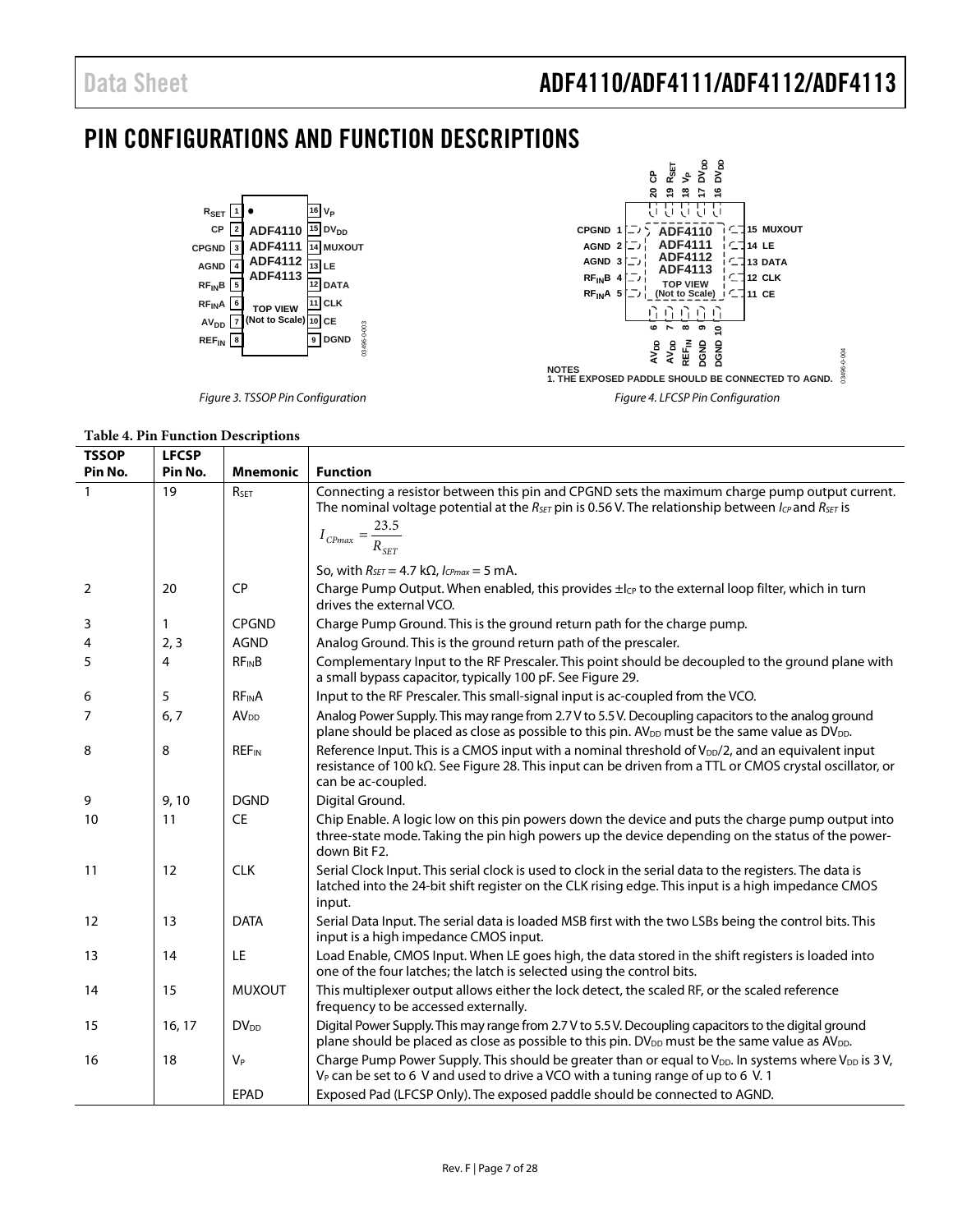# <span id="page-6-0"></span>PIN CONFIGURATIONS AND FUNCTION DESCRIPTIONS





**Table 4. Pin Function Descriptions**

| <b>TSSOP</b> | <b>LFCSP</b> |                         |                                                                                                                                                                                                                                                                       |
|--------------|--------------|-------------------------|-----------------------------------------------------------------------------------------------------------------------------------------------------------------------------------------------------------------------------------------------------------------------|
| Pin No.      | Pin No.      | <b>Mnemonic</b>         | <b>Function</b>                                                                                                                                                                                                                                                       |
| $\mathbf{1}$ | 19           | RSFT                    | Connecting a resistor between this pin and CPGND sets the maximum charge pump output current.<br>The nominal voltage potential at the $R_{\text{SET}}$ pin is 0.56 V. The relationship between $I_{CP}$ and $R_{\text{SET}}$ is<br>$I_{CPmax} = \frac{23.5}{R_{SET}}$ |
|              |              |                         | So, with $R_{SET} = 4.7 \text{ k}\Omega$ , $I_{CPmax} = 5 \text{ mA}$ .                                                                                                                                                                                               |
| 2            | 20           | <b>CP</b>               | Charge Pump Output. When enabled, this provides $\pm l_{CP}$ to the external loop filter, which in turn<br>drives the external VCO.                                                                                                                                   |
| 3            | 1            | <b>CPGND</b>            | Charge Pump Ground. This is the ground return path for the charge pump.                                                                                                                                                                                               |
| 4            | 2, 3         | <b>AGND</b>             | Analog Ground. This is the ground return path of the prescaler.                                                                                                                                                                                                       |
| 5            | 4            | $RF_{IN}B$              | Complementary Input to the RF Prescaler. This point should be decoupled to the ground plane with<br>a small bypass capacitor, typically 100 pF. See Figure 29.                                                                                                        |
| 6            | 5            | $RF_{IN}A$              | Input to the RF Prescaler. This small-signal input is ac-coupled from the VCO.                                                                                                                                                                                        |
| 7            | 6, 7         | <b>AV<sub>DD</sub></b>  | Analog Power Supply. This may range from 2.7 V to 5.5 V. Decoupling capacitors to the analog ground<br>plane should be placed as close as possible to this pin. AV <sub>DD</sub> must be the same value as DV <sub>DD</sub> .                                         |
| 8            | 8            | <b>REF<sub>IN</sub></b> | Reference Input. This is a CMOS input with a nominal threshold of $V_{\text{DD}}/2$ , and an equivalent input<br>resistance of 100 k $\Omega$ . See Figure 28. This input can be driven from a TTL or CMOS crystal oscillator, or<br>can be ac-coupled.               |
| 9            | 9,10         | <b>DGND</b>             | Digital Ground.                                                                                                                                                                                                                                                       |
| 10           | 11           | <b>CE</b>               | Chip Enable. A logic low on this pin powers down the device and puts the charge pump output into<br>three-state mode. Taking the pin high powers up the device depending on the status of the power-<br>down Bit F2.                                                  |
| 11           | 12           | <b>CLK</b>              | Serial Clock Input. This serial clock is used to clock in the serial data to the registers. The data is<br>latched into the 24-bit shift register on the CLK rising edge. This input is a high impedance CMOS<br>input.                                               |
| 12           | 13           | <b>DATA</b>             | Serial Data Input. The serial data is loaded MSB first with the two LSBs being the control bits. This<br>input is a high impedance CMOS input.                                                                                                                        |
| 13           | 14           | LE                      | Load Enable, CMOS Input. When LE goes high, the data stored in the shift registers is loaded into<br>one of the four latches; the latch is selected using the control bits.                                                                                           |
| 14           | 15           | <b>MUXOUT</b>           | This multiplexer output allows either the lock detect, the scaled RF, or the scaled reference<br>frequency to be accessed externally.                                                                                                                                 |
| 15           | 16, 17       | $DV_{DD}$               | Digital Power Supply. This may range from 2.7 V to 5.5 V. Decoupling capacitors to the digital ground<br>plane should be placed as close as possible to this pin. $DV_{DD}$ must be the same value as $AV_{DD}$ .                                                     |
| 16           | 18           | $V_P$                   | Charge Pump Power Supply. This should be greater than or equal to V <sub>DD</sub> . In systems where V <sub>DD</sub> is 3V,<br>V <sub>P</sub> can be set to 6 V and used to drive a VCO with a tuning range of up to 6 V. 1                                           |
|              |              | <b>EPAD</b>             | Exposed Pad (LFCSP Only). The exposed paddle should be connected to AGND.                                                                                                                                                                                             |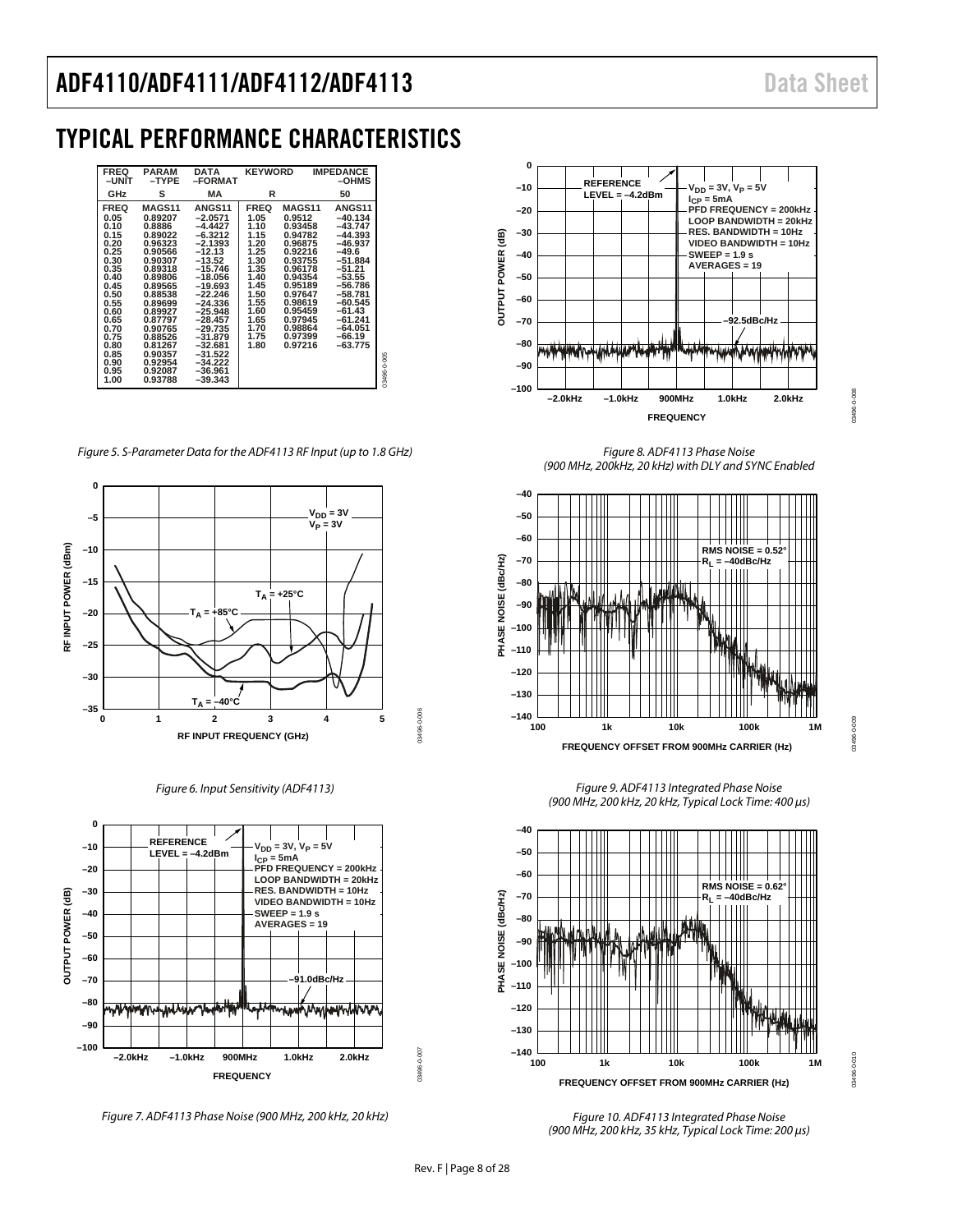03496-0-008

3496-0-008

03496-0-009

13496-0-009

# <span id="page-7-0"></span>TYPICAL PERFORMANCE CHARACTERISTICS

| <b>FREQ</b><br>$-$ UNIT                                                                                                                                                     | <b>PARAM</b><br>$-$ TYPE                                                                                                                                                                                                          | <b>DATA</b><br>-FORMAT                                                                                                                                                                                                                                                          | <b>KEYWORD</b>                                                                                                                              |                                                                                                                                                                                       | <b>IMPEDANCE</b><br>$-$ OHMS                                                                                                                                                                                       |             |
|-----------------------------------------------------------------------------------------------------------------------------------------------------------------------------|-----------------------------------------------------------------------------------------------------------------------------------------------------------------------------------------------------------------------------------|---------------------------------------------------------------------------------------------------------------------------------------------------------------------------------------------------------------------------------------------------------------------------------|---------------------------------------------------------------------------------------------------------------------------------------------|---------------------------------------------------------------------------------------------------------------------------------------------------------------------------------------|--------------------------------------------------------------------------------------------------------------------------------------------------------------------------------------------------------------------|-------------|
| GHz                                                                                                                                                                         | s                                                                                                                                                                                                                                 | МA                                                                                                                                                                                                                                                                              | R                                                                                                                                           |                                                                                                                                                                                       | 50                                                                                                                                                                                                                 |             |
| <b>FREQ</b><br>0.05<br>0.10<br>0.15<br>0.20<br>0.25<br>0.30<br>0.35<br>0.40<br>0.45<br>0.50<br>0.55<br>0.60<br>0.65<br>0.70<br>0.75<br>0.80<br>0.85<br>0.90<br>0.95<br>1.00 | MAGS11<br>0.89207<br>0.8886<br>0.89022<br>0.96323<br>0.90566<br>0.90307<br>0.89318<br>0.89806<br>0.89565<br>0.88538<br>0.89699<br>0.89927<br>0.87797<br>0.90765<br>0.88526<br>0.81267<br>0.90357<br>0.92954<br>0.92087<br>0.93788 | <b>ANGS11</b><br>$-2.0571$<br>$-4.4427$<br>$-6.3212$<br>$-2.1393$<br>$-12.13$<br>$-13.52$<br>$-15.746$<br>$-18.056$<br>$-19.693$<br>$-22.246$<br>$-24.336$<br>$-25.948$<br>$-28.457$<br>$-29.735$<br>$-31.879$<br>$-32.681$<br>$-31.522$<br>$-34.222$<br>$-36.961$<br>$-39.343$ | <b>FREQ</b><br>1.05<br>1.10<br>1.15<br>1.20<br>1.25<br>1.30<br>1.35<br>1.40<br>1.45<br>1.50<br>1.55<br>1.60<br>1.65<br>1.70<br>1.75<br>1.80 | MAGS11<br>0.9512<br>0.93458<br>0.94782<br>0.96875<br>0.92216<br>0.93755<br>0.96178<br>0.94354<br>0.95189<br>0.97647<br>0.98619<br>0.95459<br>0.97945<br>0.98864<br>0.97399<br>0.97216 | ANGS <sub>11</sub><br>$-40.134$<br>-43.747<br>$-44.393$<br>-46.937<br>$-49.6$<br>$-51.884$<br>$-51.21$<br>$-53.55$<br>$-56.786$<br>$-58.781$<br>$-60.545$<br>-61.43<br>$-61.241$<br>-64.051<br>$-66.19$<br>-63.775 | 03496-0-005 |

*Figure 5. S-Parameter Data for the ADF4113 RF Input (up to 1.8 GHz)*



*Figure 6. Input Sensitivity (ADF4113)*



*Figure 7. ADF4113 Phase Noise (900 MHz, 200 kHz, 20 kHz)*



*Figure 8. ADF4113 Phase Noise (900 MHz, 200kHz, 20 kHz) with DLY and SYNC Enabled*

<span id="page-7-1"></span>

*Figure 9. ADF4113 Integrated Phase Noise*



010-0-96450 03496-0-010

*Figure 10. ADF4113 Integrated Phase Noise (900 MHz, 200 kHz, 35 kHz, Typical Lock Time: 200 µs)* 

03496-0-007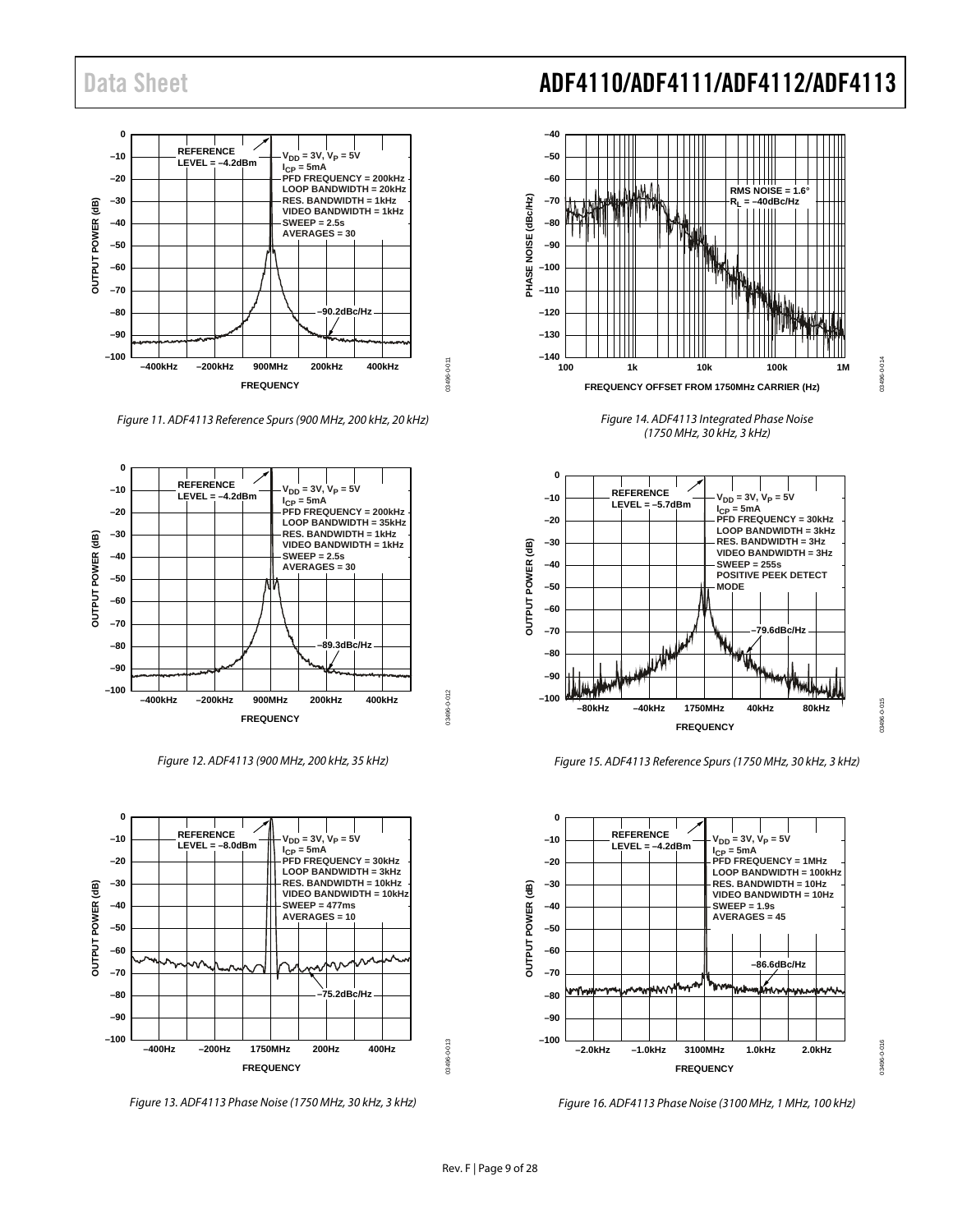

*Figure 11. ADF4113 Reference Spurs (900 MHz, 200 kHz, 20 kHz)*



*Figure 12. ADF4113 (900 MHz, 200 kHz, 35 kHz)*



*Figure 13. ADF4113 Phase Noise (1750 MHz, 30 kHz, 3 kHz)*



*Figure 14. ADF4113 Integrated Phase Noise (1750 MHz, 30 kHz, 3 kHz)*

03496-0-014

03496-0-015

3496-0-015

03496-0-016



*Figure 15. ADF4113 Reference Spurs (1750 MHz, 30 kHz, 3 kHz)*



*Figure 16. ADF4113 Phase Noise (3100 MHz, 1 MHz, 100 kHz)*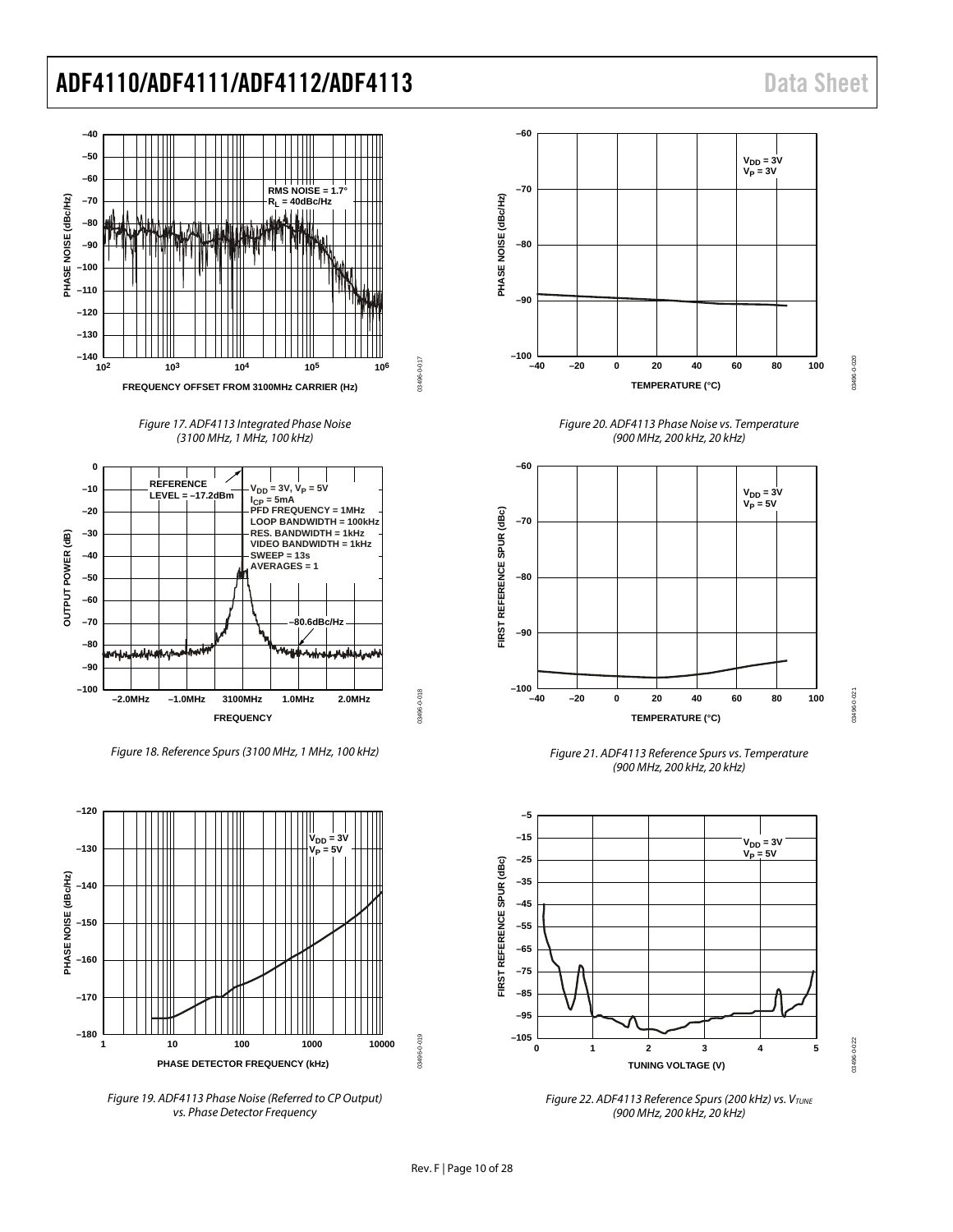

*Figure 17. ADF4113 Integrated Phase Noise (3100 MHz, 1 MHz, 100 kHz)*



*Figure 18. Reference Spurs (3100 MHz, 1 MHz, 100 kHz)*



*Figure 19. ADF4113 Phase Noise (Referred to CP Output) vs. Phase Detector Frequency*



*Figure 20. ADF4113 Phase Noise vs. Temperature (900 MHz, 200 kHz, 20 kHz)*



*Figure 21. ADF4113 Reference Spurs vs. Temperature (900 MHz, 200 kHz, 20 kHz)*



*Figure 22. ADF4113 Reference Spurs (200 kHz) vs. VTUNE (900 MHz, 200 kHz, 20 kHz)*

03496-0-022 03496-0-022

03496-0-018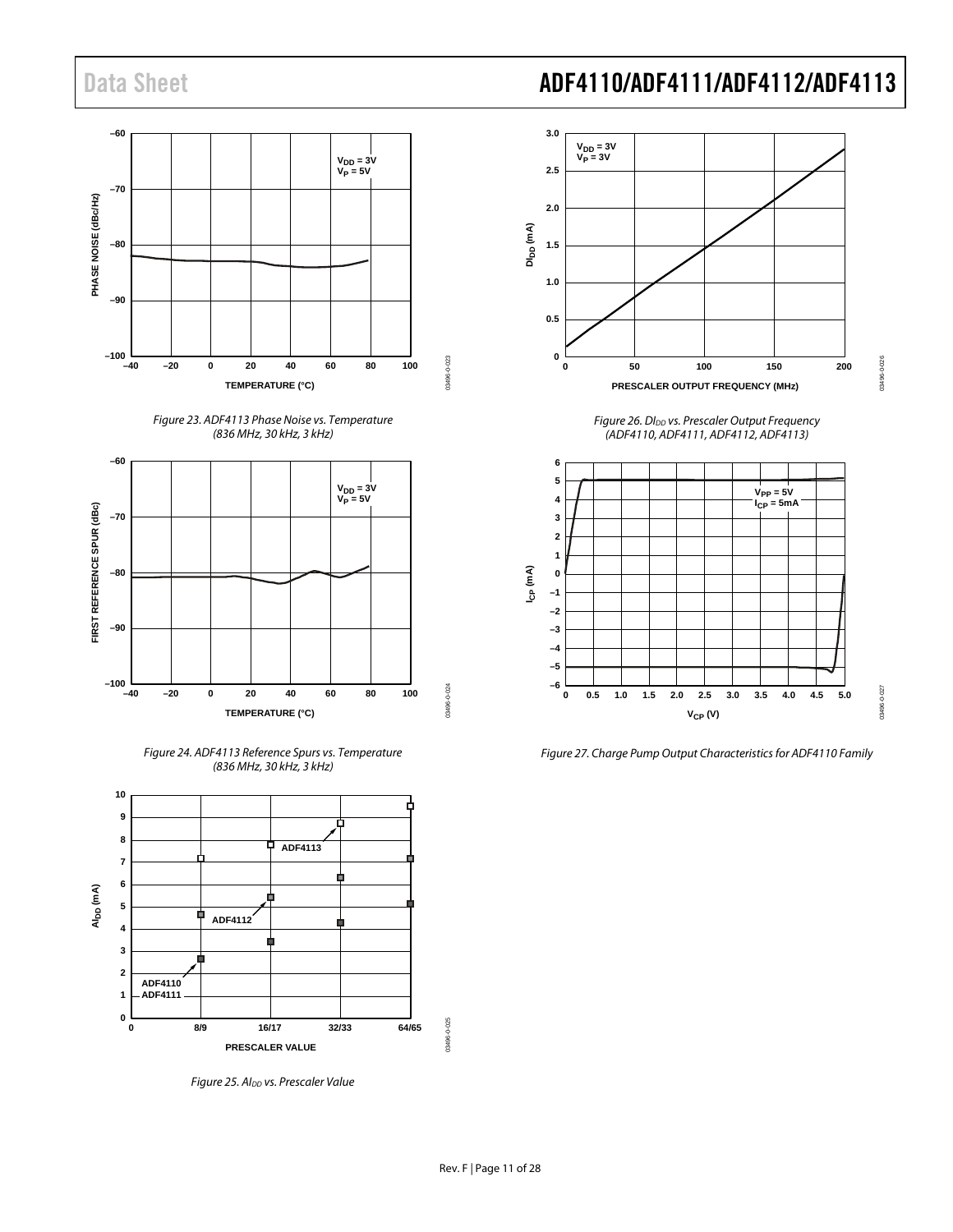









<span id="page-10-0"></span>*Figure 25. AIDD vs. Prescaler Value*



*Figure 26. DIDD vs. Prescaler Output Frequency (ADF4110, ADF4111, ADF4112, ADF4113)*

<span id="page-10-1"></span>

*Figure 27. Charge Pump Output Characteristics for ADF4110 Family*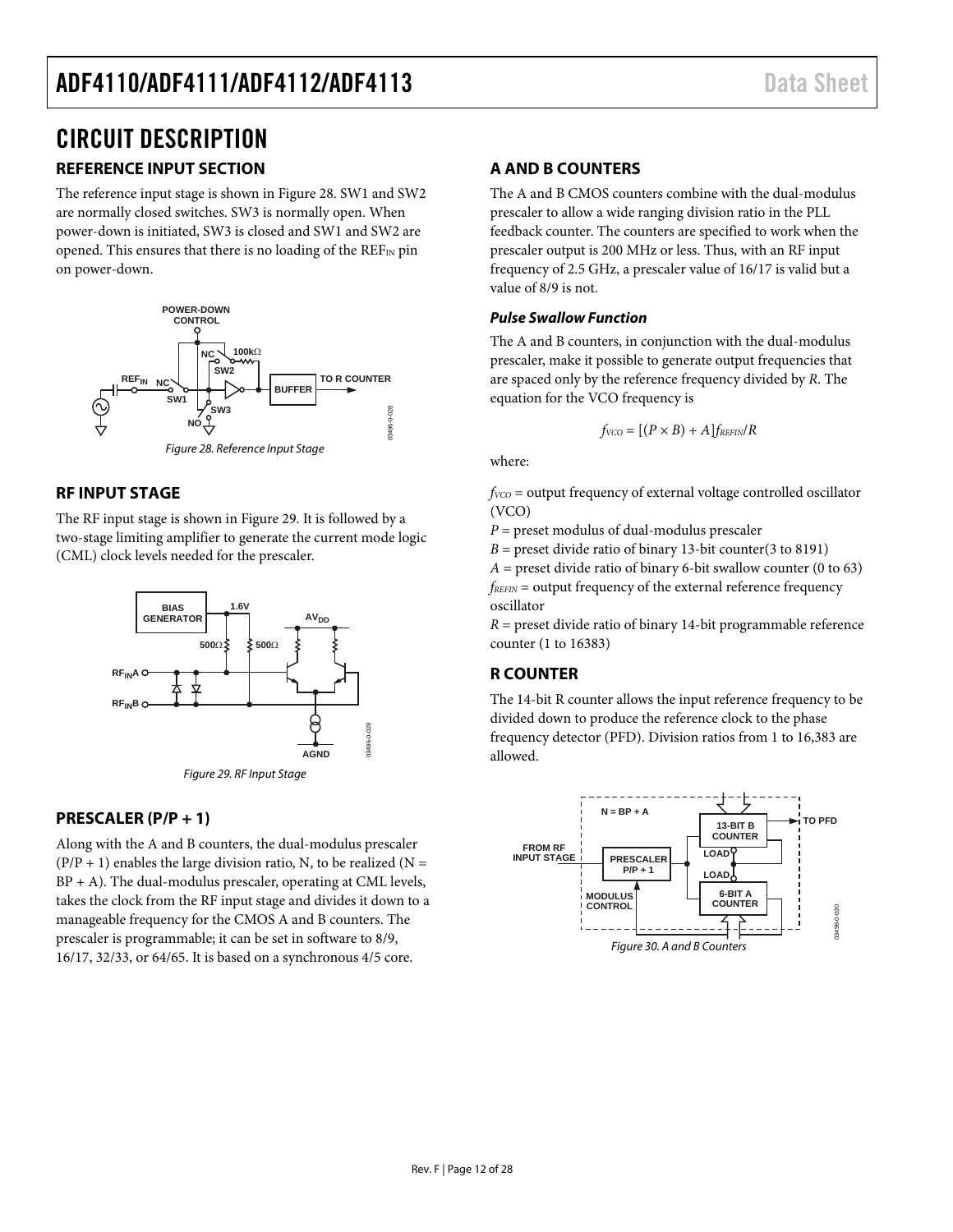# <span id="page-11-0"></span>CIRCUIT DESCRIPTION

# <span id="page-11-1"></span>**REFERENCE INPUT SECTION**

The reference input stage is shown i[n Figure 28.](#page-11-7) SW1 and SW2 are normally closed switches. SW3 is normally open. When power-down is initiated, SW3 is closed and SW1 and SW2 are opened. This ensures that there is no loading of the  $REF_{IN}$  pin on power-down.



### <span id="page-11-7"></span><span id="page-11-2"></span>**RF INPUT STAGE**

The RF input stage is shown in [Figure 29.](#page-11-6) It is followed by a two-stage limiting amplifier to generate the current mode logic (CML) clock levels needed for the prescaler.



Figure 29. RF Input Stage

### <span id="page-11-6"></span><span id="page-11-3"></span>**PRESCALER (P/P + 1)**

Along with the A and B counters, the dual-modulus prescaler  $(P/P + 1)$  enables the large division ratio, N, to be realized (N = BP + A). The dual-modulus prescaler, operating at CML levels, takes the clock from the RF input stage and divides it down to a manageable frequency for the CMOS A and B counters. The prescaler is programmable; it can be set in software to 8/9, 16/17, 32/33, or 64/65. It is based on a synchronous 4/5 core.

# <span id="page-11-4"></span>**A AND B COUNTERS**

The A and B CMOS counters combine with the dual-modulus prescaler to allow a wide ranging division ratio in the PLL feedback counter. The counters are specified to work when the prescaler output is 200 MHz or less. Thus, with an RF input frequency of 2.5 GHz, a prescaler value of 16/17 is valid but a value of 8/9 is not.

### **Pulse Swallow Function**

The A and B counters, in conjunction with the dual-modulus prescaler, make it possible to generate output frequencies that are spaced only by the reference frequency divided by *R*. The equation for the VCO frequency is

$$
f_{VCO} = [(P \times B) + A] f_{REFIN}/R
$$

where:

 $f_{VCO}$  = output frequency of external voltage controlled oscillator (VCO)

*P* = preset modulus of dual-modulus prescaler

 $B =$  preset divide ratio of binary 13-bit counter(3 to 8191)  $A =$  preset divide ratio of binary 6-bit swallow counter (0 to 63)  $f_{REFIN}$  = output frequency of the external reference frequency oscillator

*R* = preset divide ratio of binary 14-bit programmable reference counter (1 to 16383)

## <span id="page-11-5"></span>**R COUNTER**

The 14-bit R counter allows the input reference frequency to be divided down to produce the reference clock to the phase frequency detector (PFD). Division ratios from 1 to 16,383 are allowed.

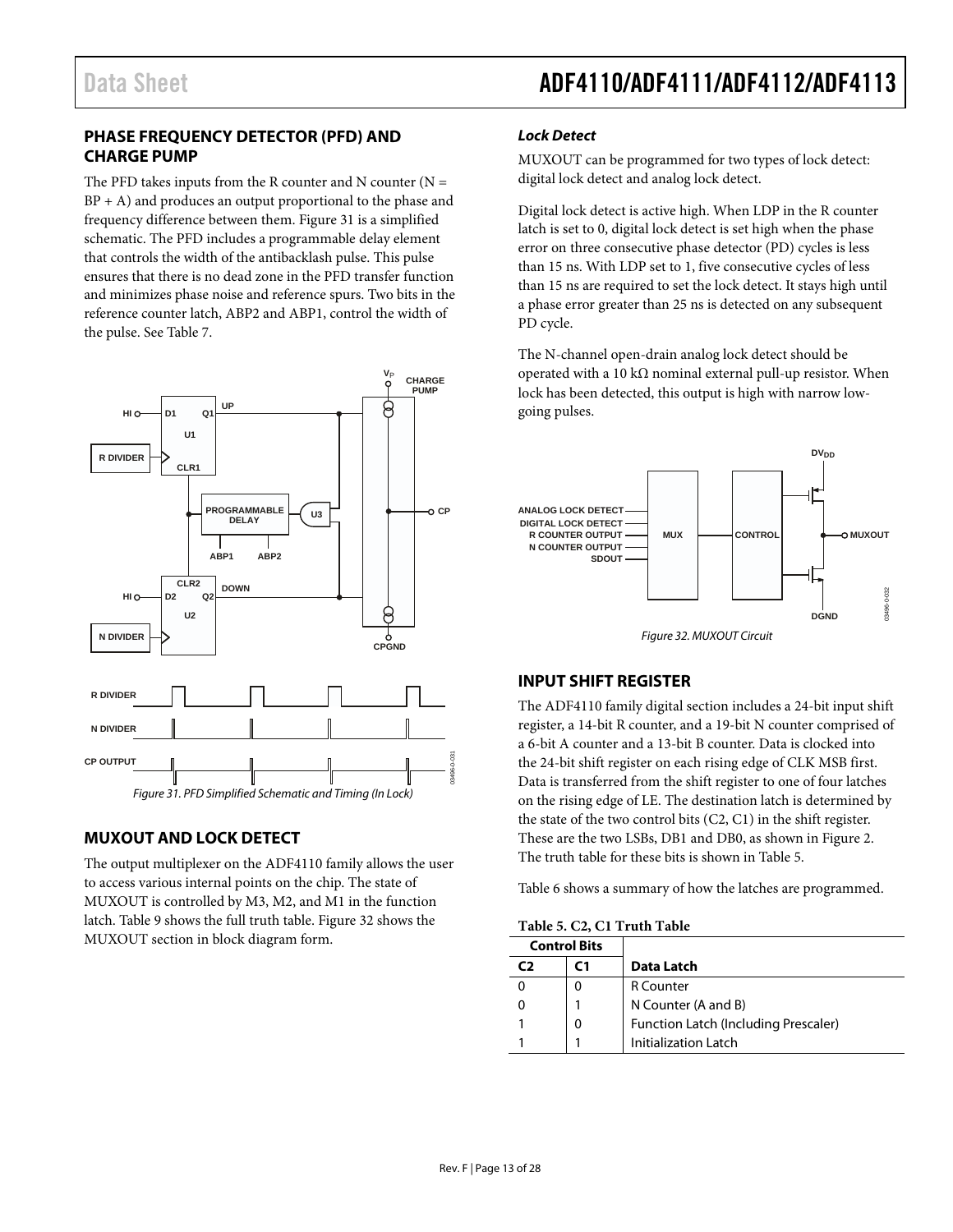### <span id="page-12-0"></span>**PHASE FREQUENCY DETECTOR (PFD) AND CHARGE PUMP**

The PFD takes inputs from the R counter and N counter  $(N =$  $BP + A$ ) and produces an output proportional to the phase and frequency difference between them. [Figure 31](#page-12-3) is a simplified schematic. The PFD includes a programmable delay element that controls the width of the antibacklash pulse. This pulse ensures that there is no dead zone in the PFD transfer function and minimizes phase noise and reference spurs. Two bits in the reference counter latch, ABP2 and ABP1, control the width of the pulse. Se[e Table 7.](#page-14-0)



## <span id="page-12-3"></span><span id="page-12-1"></span>**MUXOUT AND LOCK DETECT**

The output multiplexer on the ADF4110 family allows the user to access various internal points on the chip. The state of MUXOUT is controlled by M3, M2, and M1 in the function latch[. Table 9](#page-16-0) shows the full truth table[. Figure 32](#page-12-4) shows the MUXOUT section in block diagram form.

### *Lock Detect*

MUXOUT can be programmed for two types of lock detect: digital lock detect and analog lock detect.

Digital lock detect is active high. When LDP in the R counter latch is set to 0, digital lock detect is set high when the phase error on three consecutive phase detector (PD) cycles is less than 15 ns. With LDP set to 1, five consecutive cycles of less than 15 ns are required to set the lock detect. It stays high until a phase error greater than 25 ns is detected on any subsequent PD cycle.

The N-channel open-drain analog lock detect should be operated with a 10 kΩ nominal external pull-up resistor. When lock has been detected, this output is high with narrow lowgoing pulses.



### <span id="page-12-4"></span><span id="page-12-2"></span>**INPUT SHIFT REGISTER**

The ADF4110 family digital section includes a 24-bit input shift register, a 14-bit R counter, and a 19-bit N counter comprised of a 6-bit A counter and a 13-bit B counter. Data is clocked into the 24-bit shift register on each rising edge of CLK MSB first. Data is transferred from the shift register to one of four latches on the rising edge of LE. The destination latch is determined by the state of the two control bits (C2, C1) in the shift register. These are the two LSBs, DB1 and DB0, as shown i[n Figure 2.](#page-4-3)  The truth table for these bits is shown in [Table 5.](#page-12-5)

[Table 6](#page-13-0) shows a summary of how the latches are programmed.

<span id="page-12-5"></span>

| Table 5. C2, C1 Truth Table |  |  |  |
|-----------------------------|--|--|--|
|-----------------------------|--|--|--|

<span id="page-12-6"></span>

| <b>Control Bits</b> |                                      |
|---------------------|--------------------------------------|
| C 1                 | Data Latch                           |
| 0                   | R Counter                            |
|                     | N Counter (A and B)                  |
| 0                   | Function Latch (Including Prescaler) |
|                     | Initialization Latch                 |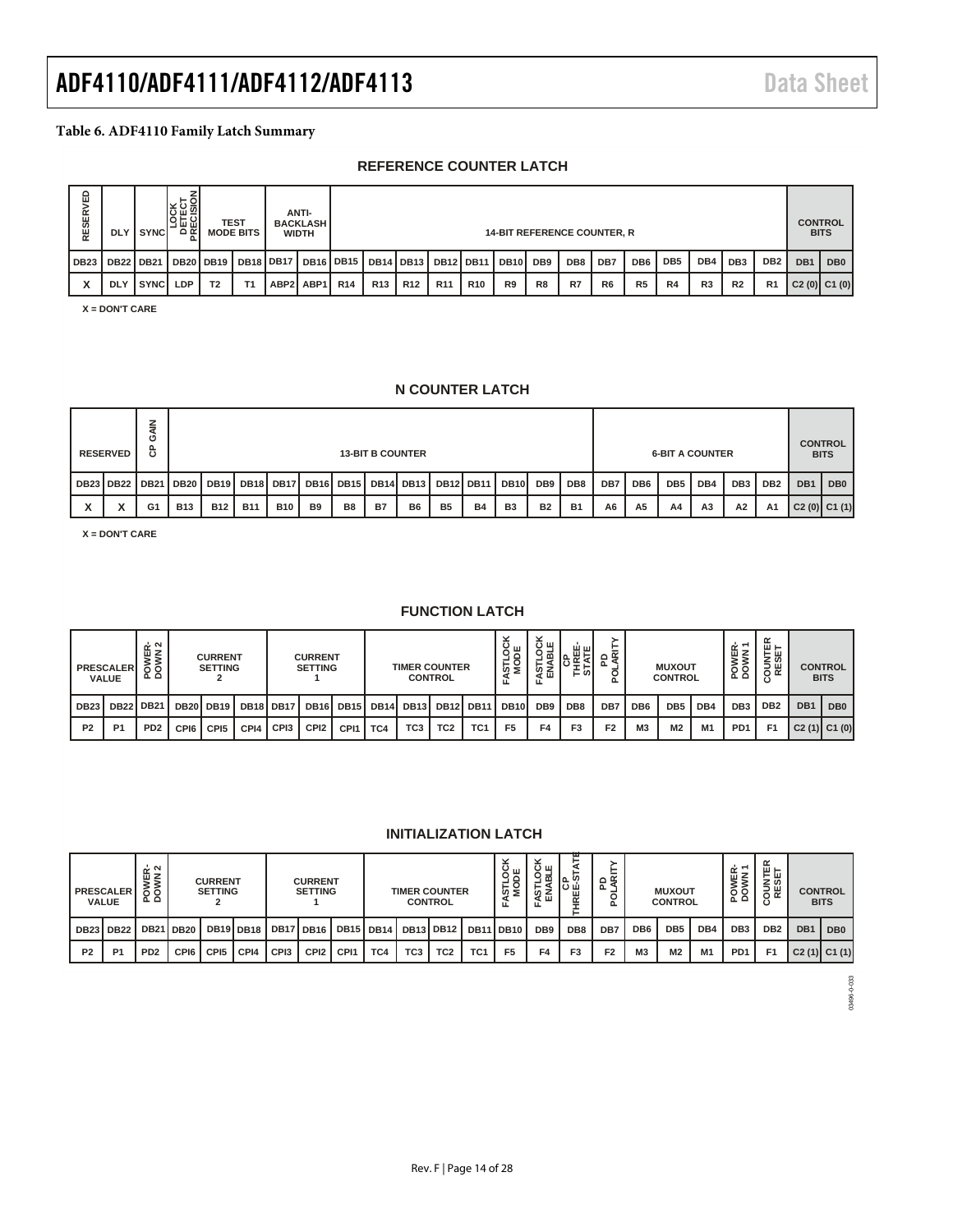#### <span id="page-13-0"></span>**Table 6. ADF4110 Family Latch Summary**

### **REFERENCE COUNTER LATCH**

| 읍<br><b>RESERY</b> | <b>DLY</b> | I SYNCI          | 명필의<br>ہ⊇ |                | <b>TEST</b><br><b>MODE BITS</b> |                     | ANTI-<br><b>BACKLASH</b><br><b>WIDTH</b> |                 |                 |                  |                 |            | <b>14-BIT REFERENCE COUNTER, R</b> |    |     |                |                 |                 |                |                 |                 |                 | <b>CONTROL</b><br><b>BITS</b> |
|--------------------|------------|------------------|-----------|----------------|---------------------------------|---------------------|------------------------------------------|-----------------|-----------------|------------------|-----------------|------------|------------------------------------|----|-----|----------------|-----------------|-----------------|----------------|-----------------|-----------------|-----------------|-------------------------------|
| DB <sub>23</sub>   |            | <b>DB22 DB21</b> | DB20 DB19 |                |                                 | DB18 DB17 DB16 DB15 |                                          |                 |                 | <b>DB14 DB13</b> | DB12 DB11       |            | DB <sub>10</sub> DB <sub>9</sub>   |    | DB8 | DB7            | DB <sub>6</sub> | DB <sub>5</sub> | DB4            | DB <sub>3</sub> | DB <sub>2</sub> | DB <sub>1</sub> | DB <sub>0</sub>               |
|                    | <b>DLY</b> | l syncl          | LDP       | T <sub>2</sub> | T <sub>1</sub>                  |                     | ABP2 ABP1                                | R <sub>14</sub> | R <sub>13</sub> | R <sub>12</sub>  | R <sub>11</sub> | <b>R10</b> | R <sub>9</sub>                     | R8 | R7  | R <sub>6</sub> | R <sub>5</sub>  | <b>R4</b>       | R <sub>3</sub> | R <sub>2</sub>  | R <sub>1</sub>  | C2(0) C1(0)     |                               |

**X = DON'T CARE**

### **N COUNTER LATCH**

| <b>RESERVED</b>  | ပ<br>௳   |            |                                                                                                 |            |            |           |                | <b>13-BIT B COUNTER</b> |           |           |           |                 |                 |           |                 |                 |     | <b>6-BIT A COUNTER</b> |    |                |             | <b>CONTROL</b><br><b>BITS</b> |
|------------------|----------|------------|-------------------------------------------------------------------------------------------------|------------|------------|-----------|----------------|-------------------------|-----------|-----------|-----------|-----------------|-----------------|-----------|-----------------|-----------------|-----|------------------------|----|----------------|-------------|-------------------------------|
| <b>DB23 DB22</b> | I DB21 I |            | IDB20 IDB19 IDB18 IDB17 I<br>DB16 DB15 DB14 DB13<br><b>DB12 DB11</b><br>DB10<br>DB <sub>9</sub> |            |            |           |                |                         |           | DB8       | DB7       | DB <sub>6</sub> | DB <sub>5</sub> | DB4       | DB <sub>3</sub> | DB <sub>2</sub> | DB1 | DB <sub>0</sub>        |    |                |             |                               |
| v                | G1       | <b>B13</b> | <b>B12</b>                                                                                      | <b>B11</b> | <b>B10</b> | <b>B9</b> | B <sub>8</sub> | B7                      | <b>B6</b> | <b>B5</b> | <b>B4</b> | B <sub>3</sub>  | <b>B2</b>       | <b>B1</b> | A <sub>6</sub>  | A <sub>5</sub>  | A4  | A <sub>3</sub>         | А2 | A <sub>1</sub> | C2(0) C1(1) |                               |

**X = DON'T CARE**

#### **FUNCTION LATCH**

|                | <b>PRESCALER</b><br><b>VALUE</b> | OWER-<br>OWN 2<br>ه ه |               | <b>CURRENT</b><br><b>SETTING</b> |      |                  | <b>CURRENT</b><br><b>SETTING</b> |                                   |             | <b>TIMER COUNTER</b> | <b>CONTROL</b>   |                 | STLOC<br>MODE<br>ட | $\check{ }$<br>س د،<br>악ᆱ<br>ទីπ | 때는<br>⊏່ທ່      | ௨              |                 | <b>MUXOUT</b><br><b>CONTROL</b> |     | ш ≇<br>δ∮<br>ᅐᅌ  | $\alpha$<br>▥.<br>⊢ш<br>z ග<br>5 ω<br>$\circ$ $\propto$ |                 | <b>CONTROL</b><br><b>BITS</b> |
|----------------|----------------------------------|-----------------------|---------------|----------------------------------|------|------------------|----------------------------------|-----------------------------------|-------------|----------------------|------------------|-----------------|--------------------|----------------------------------|-----------------|----------------|-----------------|---------------------------------|-----|------------------|---------------------------------------------------------|-----------------|-------------------------------|
| <b>DB23</b>    | <b>DB22</b>                      | <b>DB21</b>           | I DB20 DB19 I |                                  |      | DB18 DB17        |                                  | DB <sub>16</sub> DB <sub>15</sub> | <b>DB14</b> | <b>DB13</b>          | DB <sub>12</sub> | <b>DB11</b>     | <b>DB10</b>        | DB <sub>9</sub>                  | DB <sub>8</sub> | DB7            | DB <sub>6</sub> | DB <sub>5</sub>                 | DB4 | DB <sub>3</sub>  | DB <sub>2</sub>                                         | DB <sub>1</sub> | DB <sub>0</sub>               |
| P <sub>2</sub> | P <sub>1</sub>                   | PD <sub>2</sub>       | CPI6          | CPI <sub>5</sub>                 | CPI4 | CP <sub>13</sub> | CPI <sub>2</sub>                 | CPI1                              | TC4         | TC <sub>3</sub>      | TC <sub>2</sub>  | TC <sub>1</sub> | F <sub>5</sub>     | F4                               | F <sub>3</sub>  | F <sub>2</sub> | M <sub>3</sub>  | M2                              | M1  | P <sub>D</sub> 1 | F <sub>1</sub>                                          |                 | $C2(1)$ $C1(0)$               |

### **INITIALIZATION LATCH**

|                | <b>PRESCALER</b><br><b>VALUE</b> | OWER-<br>OWN 2<br>ہ تھ |                  | <b>CURRENT</b><br><b>SETTING</b> |                  |             | <b>CURRENT</b><br><b>SETTING</b> |                  |                    |                  | <b>TIMER COUNTER</b><br><b>CONTROL</b> |                 | STLOO<br>MODE<br>ட | $\overline{\phantom{a}}$<br>س د،<br>ᅙ<br>ဖာ့<br>屲<br>eτ<br>ᇿ | ш<br>ြင်းမှို့<br>$\simeq$ | œ<br>$\circ$<br>ᄘ<br>൨ |                 | <b>MUXOUT</b><br><b>CONTROL</b> |                | 空~<br>POWEF     | ⊞ ⊢<br>⊢ш<br>່ 2 ທ<br>등쑩 |                 | <b>CONTROL</b><br><b>BITS</b> |
|----------------|----------------------------------|------------------------|------------------|----------------------------------|------------------|-------------|----------------------------------|------------------|--------------------|------------------|----------------------------------------|-----------------|--------------------|--------------------------------------------------------------|----------------------------|------------------------|-----------------|---------------------------------|----------------|-----------------|--------------------------|-----------------|-------------------------------|
| <b>DB23</b>    | <b>DB22</b>                      |                        | <b>DB21 DB20</b> |                                  | <b>DB19 DB18</b> | <b>DB17</b> | <b>'IDB16,</b>                   |                  | <b>DB15 DB14 I</b> | <b>DB13 DB12</b> |                                        |                 | DB11 DB10          | DB <sub>9</sub>                                              | DB <sub>8</sub>            | DB7                    | DB <sub>6</sub> | DB <sub>5</sub>                 | DB4            | DB <sub>3</sub> | DB <sub>2</sub>          | DB <sub>1</sub> | DB <sub>0</sub>               |
| P <sub>2</sub> | P <sub>1</sub>                   | PD <sub>2</sub>        | CPI6             | CPI <sub>5</sub>                 | CPI4             | CPI3        | CPI <sub>2</sub>                 | CP <sub>11</sub> | TC4                | TC <sub>3</sub>  | TC <sub>2</sub>                        | TC <sub>1</sub> | F <sub>5</sub>     | F4                                                           | F <sub>3</sub>             | F <sub>2</sub>         | M <sub>3</sub>  | M2                              | M <sub>1</sub> | PD <sub>1</sub> | F <sub>1</sub>           | $C2(1)$ $C1(1)$ |                               |

03496-0-033 03496-0-033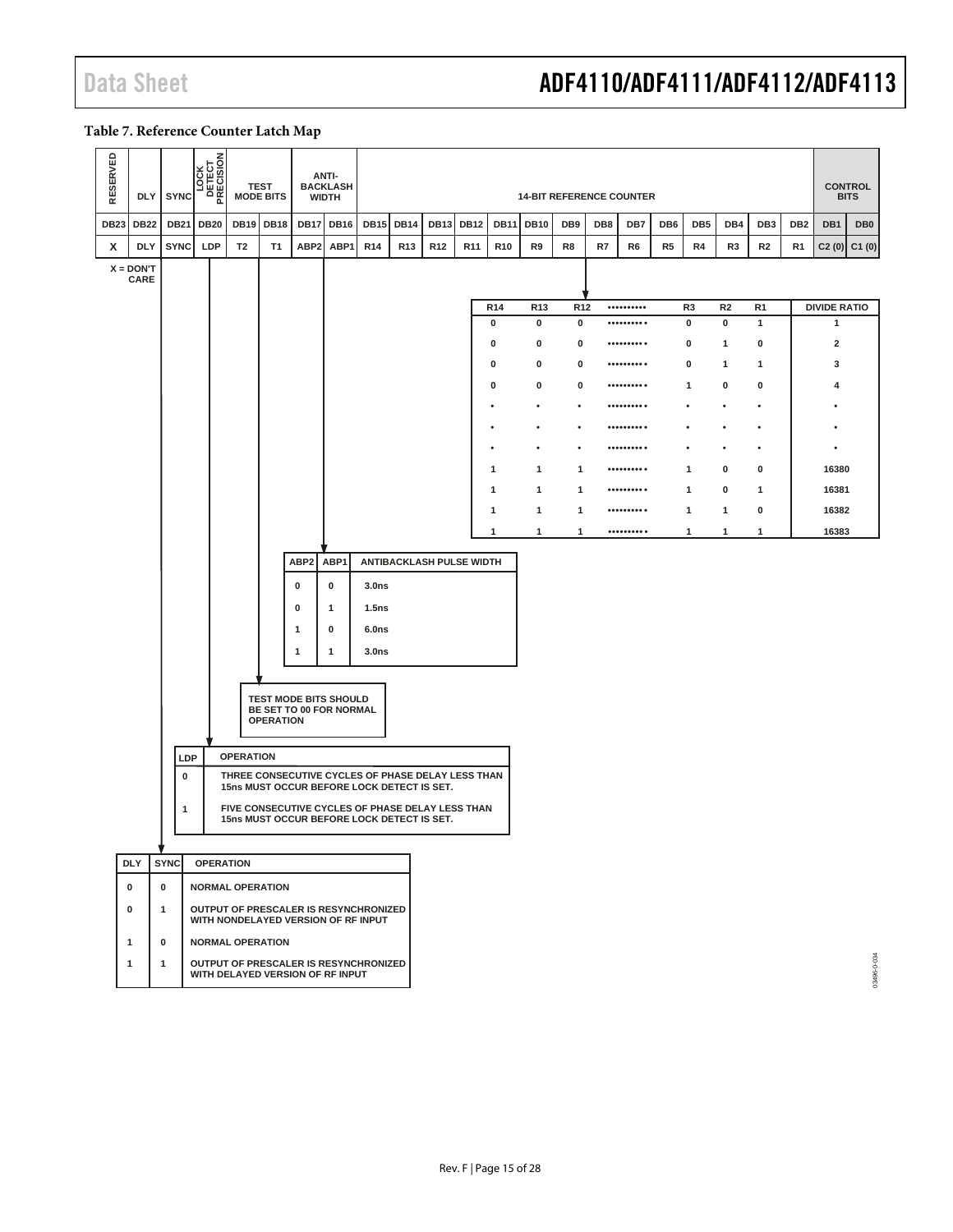#### <span id="page-14-0"></span>**Table 7. Reference Counter Latch Map**

| RESERVED    | DLY                 | <b>SYNC</b>                       | <b>LOCK</b><br>DETECT<br>PRECISION |                  | <b>TEST</b><br><b>MODE BITS</b> |                  | <b>ANTI-</b><br><b>BACKLASH</b><br><b>WIDTH</b>                                                                                                                                                                                                                                  |                                                          |                 |                 |                 |                 | <b>14-BIT REFERENCE COUNTER</b> |                 |     |                                                                                                                                                           |     |                 |                |                 |                 |                         | <b>CONTROL</b><br><b>BITS</b> |
|-------------|---------------------|-----------------------------------|------------------------------------|------------------|---------------------------------|------------------|----------------------------------------------------------------------------------------------------------------------------------------------------------------------------------------------------------------------------------------------------------------------------------|----------------------------------------------------------|-----------------|-----------------|-----------------|-----------------|---------------------------------|-----------------|-----|-----------------------------------------------------------------------------------------------------------------------------------------------------------|-----|-----------------|----------------|-----------------|-----------------|-------------------------|-------------------------------|
| <b>DB23</b> | <b>DB22</b>         | <b>DB21</b>                       | <b>DB20</b>                        | <b>DB19</b>      | <b>DB18</b>                     | <b>DB17</b>      | <b>DB16</b>                                                                                                                                                                                                                                                                      | <b>DB15</b>                                              | <b>DB14</b>     | <b>DB13</b>     | <b>DB12</b>     | <b>DB11</b>     | <b>DB10</b>                     | DB9             | DB8 | DB7                                                                                                                                                       | DB6 | DB <sub>5</sub> | DB4            | DB <sub>3</sub> | DB <sub>2</sub> | DB1                     | DB <sub>0</sub>               |
| x           | <b>DLY</b>          | <b>SYNC</b>                       | LDP                                | T <sub>2</sub>   | <b>T1</b>                       | ABP <sub>2</sub> | ABP1                                                                                                                                                                                                                                                                             | R <sub>14</sub>                                          | R <sub>13</sub> | R <sub>12</sub> | R <sub>11</sub> | R <sub>10</sub> | R9                              | R8              | R7  | R6                                                                                                                                                        | R5  | R4              | R3             | R <sub>2</sub>  | R1              | C2(0)                   | C1(0)                         |
|             | $X = DON'T$<br>CARE |                                   |                                    |                  |                                 |                  |                                                                                                                                                                                                                                                                                  |                                                          |                 |                 |                 |                 |                                 |                 |     |                                                                                                                                                           |     |                 |                |                 |                 |                         |                               |
|             |                     |                                   |                                    |                  |                                 |                  |                                                                                                                                                                                                                                                                                  |                                                          |                 |                 |                 | R <sub>14</sub> | R <sub>13</sub>                 | R <sub>12</sub> |     | ${\small \begin{array}{cc} \bullet\bullet\bullet\bullet\bullet\bullet\bullet\bullet\bullet\bullet\bullet \end{array}}$                                    |     | R3              | R <sub>2</sub> | R <sub>1</sub>  |                 |                         | <b>DIVIDE RATIO</b>           |
|             |                     |                                   |                                    |                  |                                 |                  |                                                                                                                                                                                                                                                                                  |                                                          |                 |                 |                 | 0               | 0                               | $\mathbf 0$     |     | $\begin{smallmatrix} \bullet \bullet \bullet \bullet \bullet \bullet \bullet \bullet \bullet \bullet \bullet \end{smallmatrix} \bullet \end{smallmatrix}$ |     | $\pmb{0}$       | 0              | $\mathbf{1}$    |                 | $\mathbf{1}$            |                               |
|             |                     |                                   |                                    |                  |                                 |                  |                                                                                                                                                                                                                                                                                  |                                                          |                 |                 |                 | 0               | 0                               | 0               |     | ${\small \begin{array}{ccccc} \bullet & \bullet & \bullet & \bullet & \bullet & \bullet & \bullet & \bullet & \bullet \end{array}}$                       |     | 0               | 1              | 0               |                 | $\overline{\mathbf{2}}$ |                               |
|             |                     |                                   |                                    |                  |                                 |                  |                                                                                                                                                                                                                                                                                  |                                                          |                 |                 |                 | 0               | 0                               | 0               |     | ${\small \begin{array}{ccccc} \bullet & \bullet & \bullet & \bullet & \bullet & \bullet & \bullet & \bullet & \bullet \end{array}}$                       |     | 0               | 1              | $\mathbf{1}$    |                 | 3                       |                               |
|             |                     |                                   |                                    |                  |                                 |                  |                                                                                                                                                                                                                                                                                  |                                                          |                 |                 |                 | 0               | 0                               | 0               |     | .                                                                                                                                                         |     | $\mathbf{1}$    | 0              | 0               |                 | 4                       |                               |
|             |                     |                                   |                                    |                  |                                 |                  |                                                                                                                                                                                                                                                                                  |                                                          |                 |                 |                 |                 |                                 | ٠               |     | $\begin{smallmatrix} \bullet \bullet \bullet \bullet \bullet \bullet \bullet \bullet \bullet \bullet \bullet \bullet \end{smallmatrix} \end{array}$       |     | $\bullet$       | $\bullet$      | $\bullet$       |                 |                         |                               |
|             |                     |                                   |                                    |                  |                                 |                  |                                                                                                                                                                                                                                                                                  |                                                          |                 |                 |                 |                 |                                 | ٠               |     | .                                                                                                                                                         |     | ٠               | $\bullet$      | $\bullet$       |                 |                         |                               |
|             |                     |                                   |                                    |                  |                                 |                  |                                                                                                                                                                                                                                                                                  |                                                          |                 |                 |                 |                 |                                 | ٠               |     | .                                                                                                                                                         |     | $\bullet$       | $\bullet$      | $\bullet$       |                 |                         |                               |
|             |                     |                                   |                                    |                  |                                 |                  |                                                                                                                                                                                                                                                                                  |                                                          |                 |                 |                 | $\mathbf{1}$    | 1                               | 1               |     | .                                                                                                                                                         |     | $\mathbf{1}$    | 0              | 0               |                 | 16380                   |                               |
|             |                     |                                   |                                    |                  |                                 |                  |                                                                                                                                                                                                                                                                                  |                                                          |                 |                 |                 | 1               | 1                               | 1               |     | $\begin{smallmatrix} \bullet \bullet \bullet \bullet \bullet \bullet \bullet \bullet \bullet \bullet \bullet \bullet \end{smallmatrix} \end{small}$       |     | 1               | 0              | 1               |                 | 16381                   |                               |
|             |                     |                                   |                                    |                  |                                 |                  |                                                                                                                                                                                                                                                                                  |                                                          |                 |                 |                 | 1               | 1                               | 1               |     |                                                                                                                                                           |     | 1               | 1              | 0               |                 | 16382                   |                               |
|             |                     |                                   |                                    |                  |                                 |                  |                                                                                                                                                                                                                                                                                  |                                                          |                 |                 |                 | 1               | 1                               | 1               |     | ${\small \begin{array}{ccccc} \bullet\bullet\bullet\bullet\bullet\bullet\bullet\bullet\bullet\bullet & \bullet \end{array}}$                              |     | 1               | 1              | 1               |                 | 16383                   |                               |
|             | <b>DLY</b>          | LDP<br>0<br>1<br>÷<br><b>SYNC</b> | <b>OPERATION</b>                   | <b>OPERATION</b> | <b>OPERATION</b>                | 0<br>0<br>1<br>1 | 0<br>1<br>0<br>1<br><b>TEST MODE BITS SHOULD</b><br>BE SET TO 00 FOR NORMAL<br>THREE CONSECUTIVE CYCLES OF PHASE DELAY LESS THAN<br>15ns MUST OCCUR BEFORE LOCK DETECT IS SET.<br>FIVE CONSECUTIVE CYCLES OF PHASE DELAY LESS THAN<br>15ns MUST OCCUR BEFORE LOCK DETECT IS SET. | 3.0 <sub>ns</sub><br>1.5ns<br>6.0ns<br>3.0 <sub>ns</sub> |                 |                 |                 |                 |                                 |                 |     |                                                                                                                                                           |     |                 |                |                 |                 |                         |                               |
|             | 0                   | 0                                 |                                    |                  | <b>NORMAL OPERATION</b>         |                  |                                                                                                                                                                                                                                                                                  |                                                          |                 |                 |                 |                 |                                 |                 |     |                                                                                                                                                           |     |                 |                |                 |                 |                         |                               |
|             | 0                   | $\mathbf{1}$                      |                                    |                  |                                 |                  | OUTPUT OF PRESCALER IS RESYNCHRONIZED<br>WITH NONDELAYED VERSION OF RF INPUT                                                                                                                                                                                                     |                                                          |                 |                 |                 |                 |                                 |                 |     |                                                                                                                                                           |     |                 |                |                 |                 |                         |                               |
|             | 1                   | $\pmb{0}$                         |                                    |                  | <b>NORMAL OPERATION</b>         |                  |                                                                                                                                                                                                                                                                                  |                                                          |                 |                 |                 |                 |                                 |                 |     |                                                                                                                                                           |     |                 |                |                 |                 |                         |                               |
|             | 1                   | 1                                 |                                    |                  |                                 |                  | OUTPUT OF PRESCALER IS RESYNCHRONIZED<br>WITH DELAYED VERSION OF RF INPUT                                                                                                                                                                                                        |                                                          |                 |                 |                 |                 |                                 |                 |     |                                                                                                                                                           |     |                 |                |                 |                 |                         | 03496-0-034                   |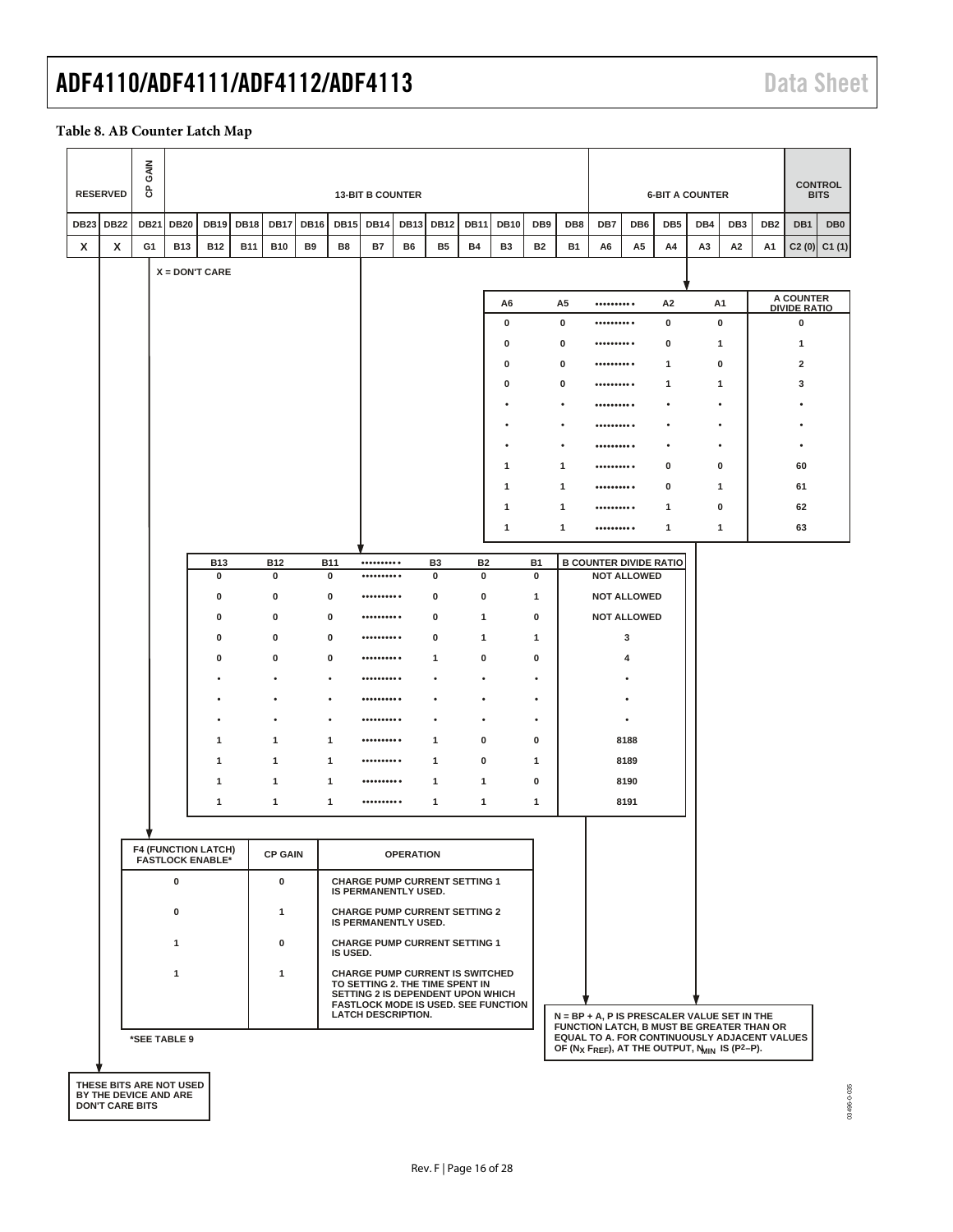#### **Table 8. AB Counter Latch Map**

|             | <b>RESERVED</b> | <b>GAIN</b><br>සි |                                                       |             |             |                |             |              | <b>13-BIT B COUNTER</b>                                                                                                                                   |                  |                |               |                                            |                 |             |                                                                                                                                                     |                                          | <b>6-BIT A COUNTER</b> |                |                 |                 |                          | <b>CONTROL</b><br><b>BITS</b> |
|-------------|-----------------|-------------------|-------------------------------------------------------|-------------|-------------|----------------|-------------|--------------|-----------------------------------------------------------------------------------------------------------------------------------------------------------|------------------|----------------|---------------|--------------------------------------------|-----------------|-------------|-----------------------------------------------------------------------------------------------------------------------------------------------------|------------------------------------------|------------------------|----------------|-----------------|-----------------|--------------------------|-------------------------------|
| <b>DB23</b> | <b>DB22</b>     | <b>DB21</b>       | <b>DB20</b>                                           | <b>DB19</b> | <b>DB18</b> | <b>DB17</b>    | <b>DB16</b> | <b>DB15</b>  | <b>DB14</b>                                                                                                                                               | <b>DB13</b>      | <b>DB12</b>    | <b>DB11</b>   | <b>DB10</b>                                | DB <sub>9</sub> | DB8         | DB7                                                                                                                                                 | DB6                                      | DB <sub>5</sub>        | DB4            | DB <sub>3</sub> | DB <sub>2</sub> | DB1                      | DB <sub>0</sub>               |
| x           | x               | G1                | <b>B13</b>                                            | <b>B12</b>  | <b>B11</b>  | <b>B10</b>     | <b>B9</b>   | B8           | <b>B7</b>                                                                                                                                                 | B6               | <b>B5</b>      | <b>B4</b>     | <b>B3</b>                                  | <b>B2</b>       | <b>B1</b>   | A6                                                                                                                                                  | A <sub>5</sub>                           | A4                     | A <sub>3</sub> | A2              | А1              |                          | $C2(0)$ $C1(1)$               |
|             |                 |                   | $X =$ DON'T CARE                                      |             |             |                |             |              |                                                                                                                                                           |                  |                |               |                                            |                 |             |                                                                                                                                                     |                                          |                        |                |                 |                 |                          |                               |
|             |                 |                   |                                                       |             |             |                |             |              |                                                                                                                                                           |                  |                |               | A6                                         |                 | A5          | ${\small \begin{array}{ccccc} \bullet & \bullet & \bullet & \bullet & \bullet & \bullet & \bullet & \bullet & \bullet \end{array}}$                 |                                          | A <sub>2</sub>         |                | A1              |                 | A COUNTER                |                               |
|             |                 |                   |                                                       |             |             |                |             |              |                                                                                                                                                           |                  |                |               | 0                                          |                 | 0           | .                                                                                                                                                   |                                          | 0                      |                | 0               |                 | <b>DIVIDE RATIO</b><br>0 |                               |
|             |                 |                   |                                                       |             |             |                |             |              |                                                                                                                                                           |                  |                |               | 0                                          |                 | 0           |                                                                                                                                                     |                                          | 0                      |                | 1               |                 | 1                        |                               |
|             |                 |                   |                                                       |             |             |                |             |              |                                                                                                                                                           |                  |                |               | 0                                          |                 | 0           |                                                                                                                                                     |                                          | $\mathbf{1}$           |                | 0               |                 | 2                        |                               |
|             |                 |                   |                                                       |             |             |                |             |              |                                                                                                                                                           |                  |                |               | 0                                          |                 | $\mathbf 0$ | $\begin{smallmatrix} \bullet \bullet \bullet \bullet \bullet \bullet \bullet \bullet \bullet \bullet \bullet \bullet \end{smallmatrix} \end{small}$ |                                          | -1                     |                | 1               |                 | 3                        |                               |
|             |                 |                   |                                                       |             |             |                |             |              |                                                                                                                                                           |                  |                |               |                                            |                 |             | .                                                                                                                                                   |                                          |                        |                |                 |                 |                          |                               |
|             |                 |                   |                                                       |             |             |                |             |              |                                                                                                                                                           |                  |                |               |                                            |                 | ٠           | .                                                                                                                                                   |                                          | ٠                      |                | $\bullet$       |                 |                          |                               |
|             |                 |                   |                                                       |             |             |                |             |              |                                                                                                                                                           |                  |                |               |                                            |                 | $\bullet$   |                                                                                                                                                     |                                          | ٠                      |                | $\bullet$       |                 | ٠                        |                               |
|             |                 |                   |                                                       |             |             |                |             |              |                                                                                                                                                           |                  |                |               | 1                                          |                 | 1           |                                                                                                                                                     |                                          | 0                      |                | 0               |                 | 60                       |                               |
|             |                 |                   |                                                       |             |             |                |             |              |                                                                                                                                                           |                  |                |               | 1                                          |                 | 1           | .                                                                                                                                                   |                                          | $\mathbf 0$            |                | 1               |                 | 61                       |                               |
|             |                 |                   |                                                       |             |             |                |             |              |                                                                                                                                                           |                  |                |               | 1<br>1                                     |                 | 1<br>1      | .<br>                                                                                                                                               |                                          | 1<br>1                 |                | 0<br>1          |                 | 62<br>63                 |                               |
|             |                 |                   |                                                       |             |             |                |             |              |                                                                                                                                                           |                  |                |               |                                            |                 |             |                                                                                                                                                     |                                          |                        |                |                 |                 |                          |                               |
|             |                 |                   |                                                       | <b>B13</b>  |             | <b>B12</b>     |             | <b>B11</b>   | $\begin{smallmatrix} \bullet \bullet \bullet \bullet \bullet \bullet \bullet \bullet \bullet \bullet \bullet \bullet \end{smallmatrix}$                   |                  | B <sub>3</sub> | <b>B2</b>     |                                            | <b>B1</b>       |             | <b>B COUNTER DIVIDE RATIO</b>                                                                                                                       |                                          |                        |                |                 |                 |                          |                               |
|             |                 |                   |                                                       | 0<br>0      |             | 0<br>0         |             | 0<br>0       | $\begin{smallmatrix} \bullet \bullet \bullet \bullet \bullet \bullet \bullet \bullet \bullet \bullet \bullet \bullet \end{smallmatrix}$<br>.              |                  | 0<br>0         | $\bf{0}$<br>0 |                                            | 0<br>1          |             |                                                                                                                                                     | <b>NOT ALLOWED</b><br><b>NOT ALLOWED</b> |                        |                |                 |                 |                          |                               |
|             |                 |                   |                                                       | $\mathbf 0$ |             | 0              |             | 0            | .                                                                                                                                                         |                  | 0              | 1             |                                            | 0               |             |                                                                                                                                                     | <b>NOT ALLOWED</b>                       |                        |                |                 |                 |                          |                               |
|             |                 |                   |                                                       | 0           |             | 0              |             | 0            |                                                                                                                                                           |                  | 0              | 1             |                                            | 1               |             |                                                                                                                                                     | 3                                        |                        |                |                 |                 |                          |                               |
|             |                 |                   |                                                       | 0           |             | 0              |             | 0            |                                                                                                                                                           |                  | 1              | 0             |                                            | $\pmb{0}$       |             |                                                                                                                                                     | 4                                        |                        |                |                 |                 |                          |                               |
|             |                 |                   |                                                       |             |             | ٠              |             | ٠            | .                                                                                                                                                         |                  | ٠              | $\bullet$     |                                            | $\bullet$       |             |                                                                                                                                                     | ٠                                        |                        |                |                 |                 |                          |                               |
|             |                 |                   |                                                       |             |             |                |             | ٠            | .                                                                                                                                                         |                  | ٠              | $\bullet$     |                                            | $\bullet$       |             |                                                                                                                                                     |                                          |                        |                |                 |                 |                          |                               |
|             |                 |                   |                                                       |             |             |                |             | $\bullet$    | .                                                                                                                                                         |                  | ٠              | $\bullet$     |                                            | $\bullet$       |             |                                                                                                                                                     | $\bullet$                                |                        |                |                 |                 |                          |                               |
|             |                 |                   |                                                       | 1           |             | 1              |             | 1            |                                                                                                                                                           |                  | 1              | 0             |                                            | 0               |             |                                                                                                                                                     | 8188                                     |                        |                |                 |                 |                          |                               |
|             |                 |                   |                                                       | 1           |             | 1              |             | $\mathbf{1}$ |                                                                                                                                                           |                  | 1              | 0             |                                            | 1               |             |                                                                                                                                                     | 8189                                     |                        |                |                 |                 |                          |                               |
|             |                 |                   |                                                       | 1           |             | 1              |             | 1            | .                                                                                                                                                         |                  | 1              | 1             |                                            | 0               |             |                                                                                                                                                     | 8190                                     |                        |                |                 |                 |                          |                               |
|             |                 |                   |                                                       | 1           |             | 1              |             | 1            | $\begin{smallmatrix} \bullet \bullet \bullet \bullet \bullet \bullet \bullet \bullet \bullet \bullet \bullet \bullet \end{smallmatrix} \end{smallmatrix}$ |                  | 1              | 1             |                                            | 1               |             |                                                                                                                                                     | 8191                                     |                        |                |                 |                 |                          |                               |
|             |                 |                   |                                                       |             |             |                |             |              |                                                                                                                                                           |                  |                |               |                                            |                 |             |                                                                                                                                                     |                                          |                        |                |                 |                 |                          |                               |
|             |                 |                   | <b>F4 (FUNCTION LATCH)</b><br><b>FASTLOCK ENABLE*</b> |             |             | <b>CP GAIN</b> |             |              |                                                                                                                                                           | <b>OPERATION</b> |                |               |                                            |                 |             |                                                                                                                                                     |                                          |                        |                |                 |                 |                          |                               |
|             |                 |                   | 0                                                     |             |             | 0              |             |              | <b>CHARGE PUMP CURRENT SETTING 1</b><br>IS PERMANENTLY USED.                                                                                              |                  |                |               |                                            |                 |             |                                                                                                                                                     |                                          |                        |                |                 |                 |                          |                               |
|             |                 |                   | 0                                                     |             |             | 1              |             |              | <b>CHARGE PUMP CURRENT SETTING 2</b><br>IS PERMANENTLY USED.                                                                                              |                  |                |               |                                            |                 |             |                                                                                                                                                     |                                          |                        |                |                 |                 |                          |                               |
|             |                 |                   | 1                                                     |             |             | 0              |             | IS USED.     | <b>CHARGE PUMP CURRENT SETTING 1</b>                                                                                                                      |                  |                |               |                                            |                 |             |                                                                                                                                                     |                                          |                        |                |                 |                 |                          |                               |
|             |                 |                   | 1                                                     |             |             | 1              |             |              | <b>CHARGE PUMP CURRENT IS SWITCHED</b><br>TO SETTING 2. THE TIME SPENT IN<br>SETTING 2 IS DEPENDENT UPON WHICH<br><b>LATCH DESCRIPTION.</b>               |                  |                |               | <b>FASTLOCK MODE IS USED. SEE FUNCTION</b> |                 |             | N = BP + A, P IS PRESCALER VALUE SET IN THE<br>FUNCTION LATCH, B MUST BE GREATER THAN OR                                                            |                                          |                        |                |                 |                 |                          |                               |
|             |                 |                   | *SEE TABLE 9                                          |             |             |                |             |              |                                                                                                                                                           |                  |                |               |                                            |                 |             | EQUAL TO A. FOR CONTINUOUSLY ADJACENT VALUES<br>OF (Nx FREF), AT THE OUTPUT, N <sub>MIN</sub> IS (P <sup>2</sup> -P).                               |                                          |                        |                |                 |                 |                          |                               |
|             |                 |                   | THESE BITS ARE NOT USED                               |             |             |                |             |              |                                                                                                                                                           |                  |                |               |                                            |                 |             |                                                                                                                                                     |                                          |                        |                |                 |                 |                          |                               |

**THESE BITS ARE NOT USED BY THE DEVICE AND ARE DON'T CARE BITS**

03496-0-035 03496-0-035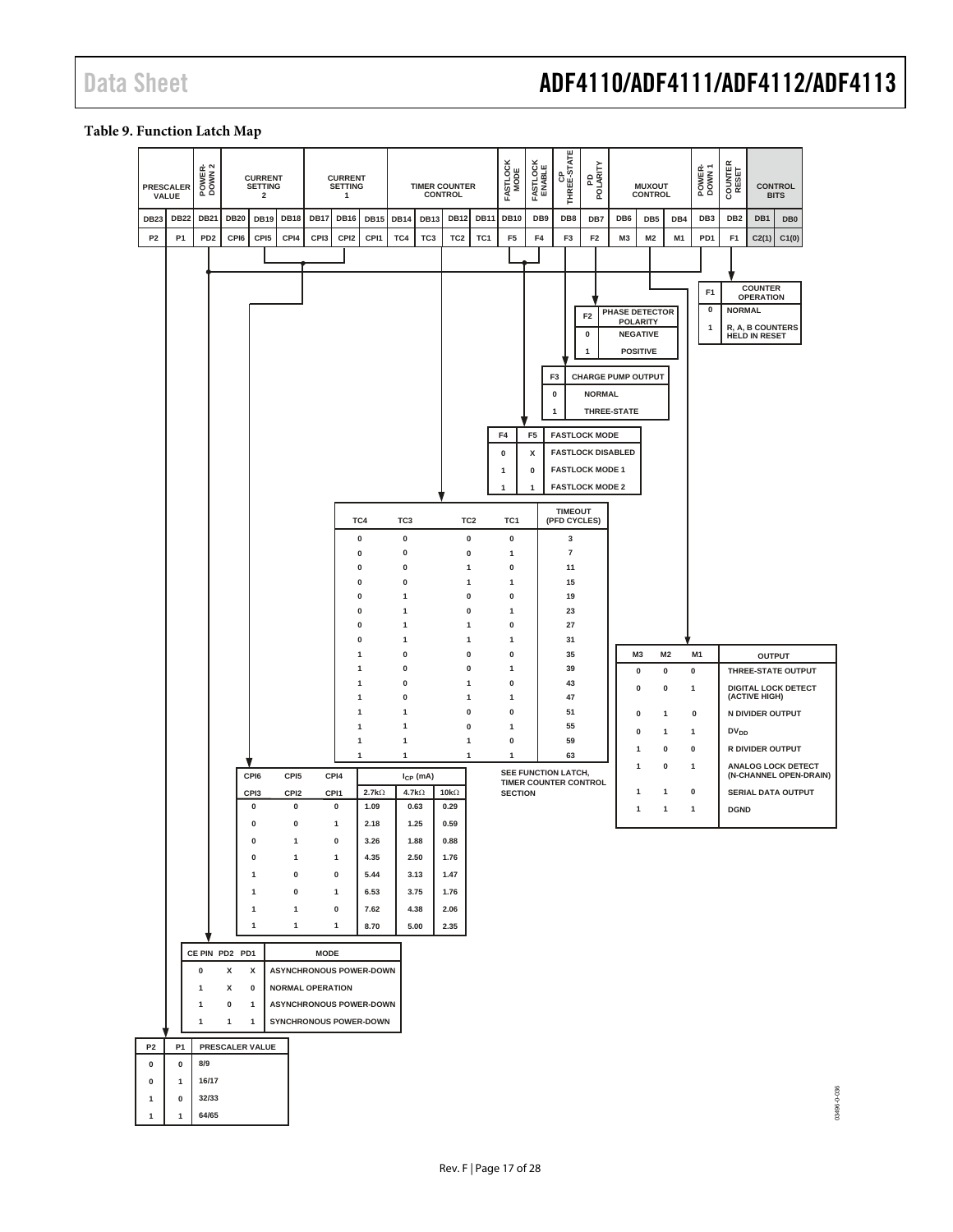03496-0-036

#### <span id="page-16-0"></span>**Table 9. Function Latch Map**

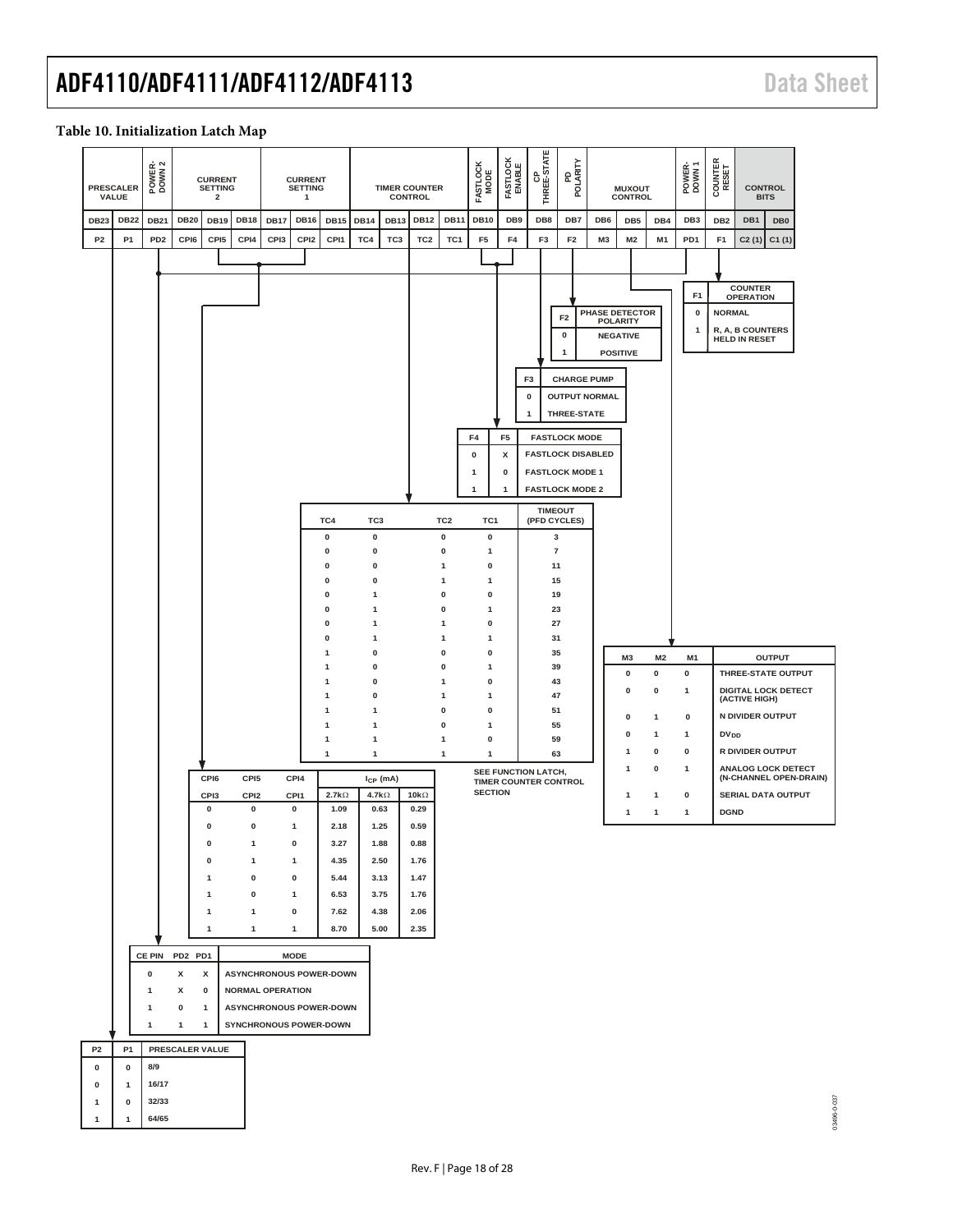#### **Table 10. Initialization Latch Map**

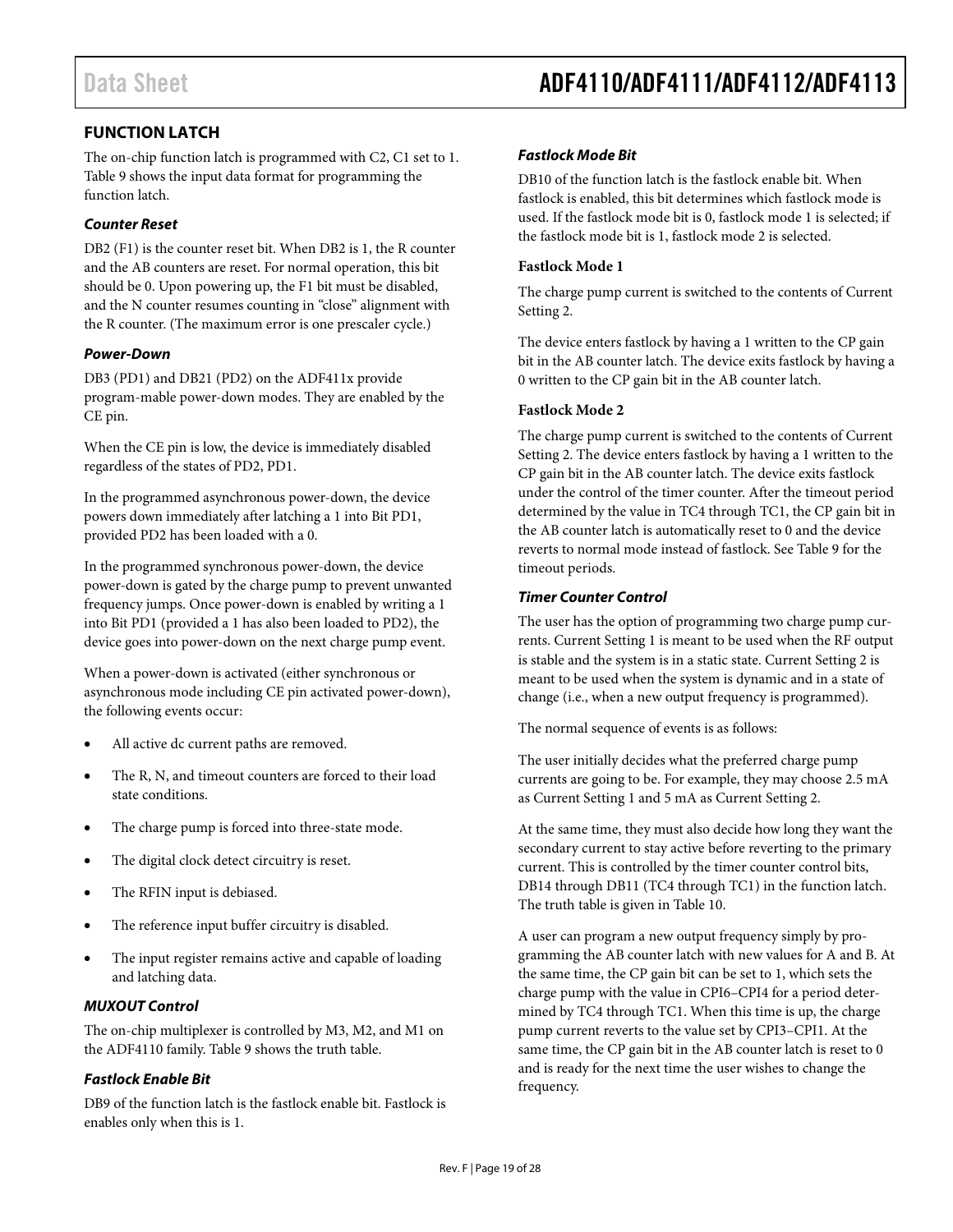# <span id="page-18-0"></span>**FUNCTION LATCH**

The on-chip function latch is programmed with C2, C1 set to 1. [Table 9](#page-16-0) shows the input data format for programming the function latch.

### *Counter Reset*

DB2 (F1) is the counter reset bit. When DB2 is 1, the R counter and the AB counters are reset. For normal operation, this bit should be 0. Upon powering up, the F1 bit must be disabled, and the N counter resumes counting in "close" alignment with the R counter. (The maximum error is one prescaler cycle.)

### *Power-Down*

DB3 (PD1) and DB21 (PD2) on the ADF411x provide program-mable power-down modes. They are enabled by the CE pin.

When the CE pin is low, the device is immediately disabled regardless of the states of PD2, PD1.

In the programmed asynchronous power-down, the device powers down immediately after latching a 1 into Bit PD1, provided PD2 has been loaded with a 0.

In the programmed synchronous power-down, the device power-down is gated by the charge pump to prevent unwanted frequency jumps. Once power-down is enabled by writing a 1 into Bit PD1 (provided a 1 has also been loaded to PD2), the device goes into power-down on the next charge pump event.

When a power-down is activated (either synchronous or asynchronous mode including CE pin activated power-down), the following events occur:

- All active dc current paths are removed.
- The R, N, and timeout counters are forced to their load state conditions.
- The charge pump is forced into three-state mode.
- The digital clock detect circuitry is reset.
- The RFIN input is debiased.
- The reference input buffer circuitry is disabled.
- The input register remains active and capable of loading and latching data.

#### *MUXOUT Control*

The on-chip multiplexer is controlled by M3, M2, and M1 on the ADF4110 family[. Table 9](#page-16-0) shows the truth table.

#### *Fastlock Enable Bit*

DB9 of the function latch is the fastlock enable bit. Fastlock is enables only when this is 1.

#### *Fastlock Mode Bit*

DB10 of the function latch is the fastlock enable bit. When fastlock is enabled, this bit determines which fastlock mode is used. If the fastlock mode bit is 0, fastlock mode 1 is selected; if the fastlock mode bit is 1, fastlock mode 2 is selected.

#### **Fastlock Mode 1**

The charge pump current is switched to the contents of Current Setting 2.

The device enters fastlock by having a 1 written to the CP gain bit in the AB counter latch. The device exits fastlock by having a 0 written to the CP gain bit in the AB counter latch.

#### **Fastlock Mode 2**

The charge pump current is switched to the contents of Current Setting 2. The device enters fastlock by having a 1 written to the CP gain bit in the AB counter latch. The device exits fastlock under the control of the timer counter. After the timeout period determined by the value in TC4 through TC1, the CP gain bit in the AB counter latch is automatically reset to 0 and the device reverts to normal mode instead of fastlock. Se[e Table 9](#page-16-0) for the timeout periods.

#### *Timer Counter Control*

The user has the option of programming two charge pump currents. Current Setting 1 is meant to be used when the RF output is stable and the system is in a static state. Current Setting 2 is meant to be used when the system is dynamic and in a state of change (i.e., when a new output frequency is programmed).

The normal sequence of events is as follows:

The user initially decides what the preferred charge pump currents are going to be. For example, they may choose 2.5 mA as Current Setting 1 and 5 mA as Current Setting 2.

At the same time, they must also decide how long they want the secondary current to stay active before reverting to the primary current. This is controlled by the timer counter control bits, DB14 through DB11 (TC4 through TC1) in the function latch. The truth table is given in Table 10.

A user can program a new output frequency simply by programming the AB counter latch with new values for A and B. At the same time, the CP gain bit can be set to 1, which sets the charge pump with the value in CPI6–CPI4 for a period determined by TC4 through TC1. When this time is up, the charge pump current reverts to the value set by CPI3–CPI1. At the same time, the CP gain bit in the AB counter latch is reset to 0 and is ready for the next time the user wishes to change the frequency.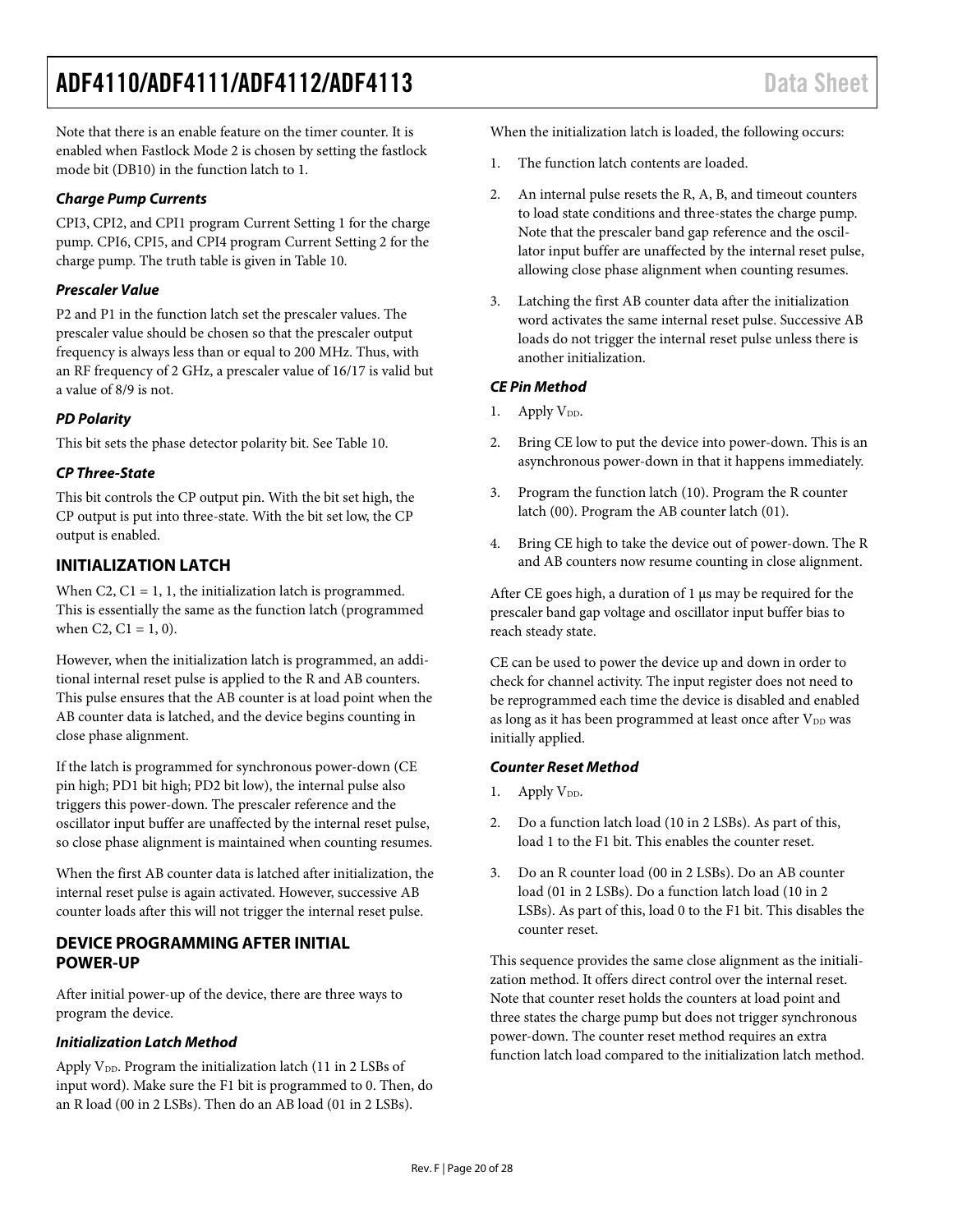Note that there is an enable feature on the timer counter. It is enabled when Fastlock Mode 2 is chosen by setting the fastlock mode bit (DB10) in the function latch to 1.

#### *Charge Pump Currents*

CPI3, CPI2, and CPI1 program Current Setting 1 for the charge pump. CPI6, CPI5, and CPI4 program Current Setting 2 for the charge pump. The truth table is given in Table 10.

### *Prescaler Value*

P2 and P1 in the function latch set the prescaler values. The prescaler value should be chosen so that the prescaler output frequency is always less than or equal to 200 MHz. Thus, with an RF frequency of 2 GHz, a prescaler value of 16/17 is valid but a value of 8/9 is not.

### *PD Polarity*

This bit sets the phase detector polarity bit. See Table 10.

### *CP Three-State*

This bit controls the CP output pin. With the bit set high, the CP output is put into three-state. With the bit set low, the CP output is enabled.

### <span id="page-19-0"></span>**INITIALIZATION LATCH**

When C2,  $C1 = 1$ , 1, the initialization latch is programmed. This is essentially the same as the function latch (programmed when C2,  $C1 = 1, 0$ .

However, when the initialization latch is programmed, an additional internal reset pulse is applied to the R and AB counters. This pulse ensures that the AB counter is at load point when the AB counter data is latched, and the device begins counting in close phase alignment.

If the latch is programmed for synchronous power-down (CE pin high; PD1 bit high; PD2 bit low), the internal pulse also triggers this power-down. The prescaler reference and the oscillator input buffer are unaffected by the internal reset pulse, so close phase alignment is maintained when counting resumes.

When the first AB counter data is latched after initialization, the internal reset pulse is again activated. However, successive AB counter loads after this will not trigger the internal reset pulse.

### <span id="page-19-1"></span>**DEVICE PROGRAMMING AFTER INITIAL POWER-UP**

After initial power-up of the device, there are three ways to program the device.

#### *Initialization Latch Method*

Apply  $V_{DD}$ . Program the initialization latch (11 in 2 LSBs of input word). Make sure the F1 bit is programmed to 0. Then, do an R load (00 in 2 LSBs). Then do an AB load (01 in 2 LSBs).

When the initialization latch is loaded, the following occurs:

- 1. The function latch contents are loaded.
- 2. An internal pulse resets the R, A, B, and timeout counters to load state conditions and three-states the charge pump. Note that the prescaler band gap reference and the oscillator input buffer are unaffected by the internal reset pulse, allowing close phase alignment when counting resumes.
- 3. Latching the first AB counter data after the initialization word activates the same internal reset pulse. Successive AB loads do not trigger the internal reset pulse unless there is another initialization.

#### *CE Pin Method*

- 1. Apply  $V_{DD}$ .
- 2. Bring CE low to put the device into power-down. This is an asynchronous power-down in that it happens immediately.
- 3. Program the function latch (10). Program the R counter latch (00). Program the AB counter latch (01).
- 4. Bring CE high to take the device out of power-down. The R and AB counters now resume counting in close alignment.

After CE goes high, a duration of 1 µs may be required for the prescaler band gap voltage and oscillator input buffer bias to reach steady state.

CE can be used to power the device up and down in order to check for channel activity. The input register does not need to be reprogrammed each time the device is disabled and enabled as long as it has been programmed at least once after V<sub>DD</sub> was initially applied.

#### *Counter Reset Method*

- 1. Apply  $V_{DD}$ .
- 2. Do a function latch load (10 in 2 LSBs). As part of this, load 1 to the F1 bit. This enables the counter reset.
- 3. Do an R counter load (00 in 2 LSBs). Do an AB counter load (01 in 2 LSBs). Do a function latch load (10 in 2 LSBs). As part of this, load 0 to the F1 bit. This disables the counter reset.

This sequence provides the same close alignment as the initialization method. It offers direct control over the internal reset. Note that counter reset holds the counters at load point and three states the charge pump but does not trigger synchronous power-down. The counter reset method requires an extra function latch load compared to the initialization latch method.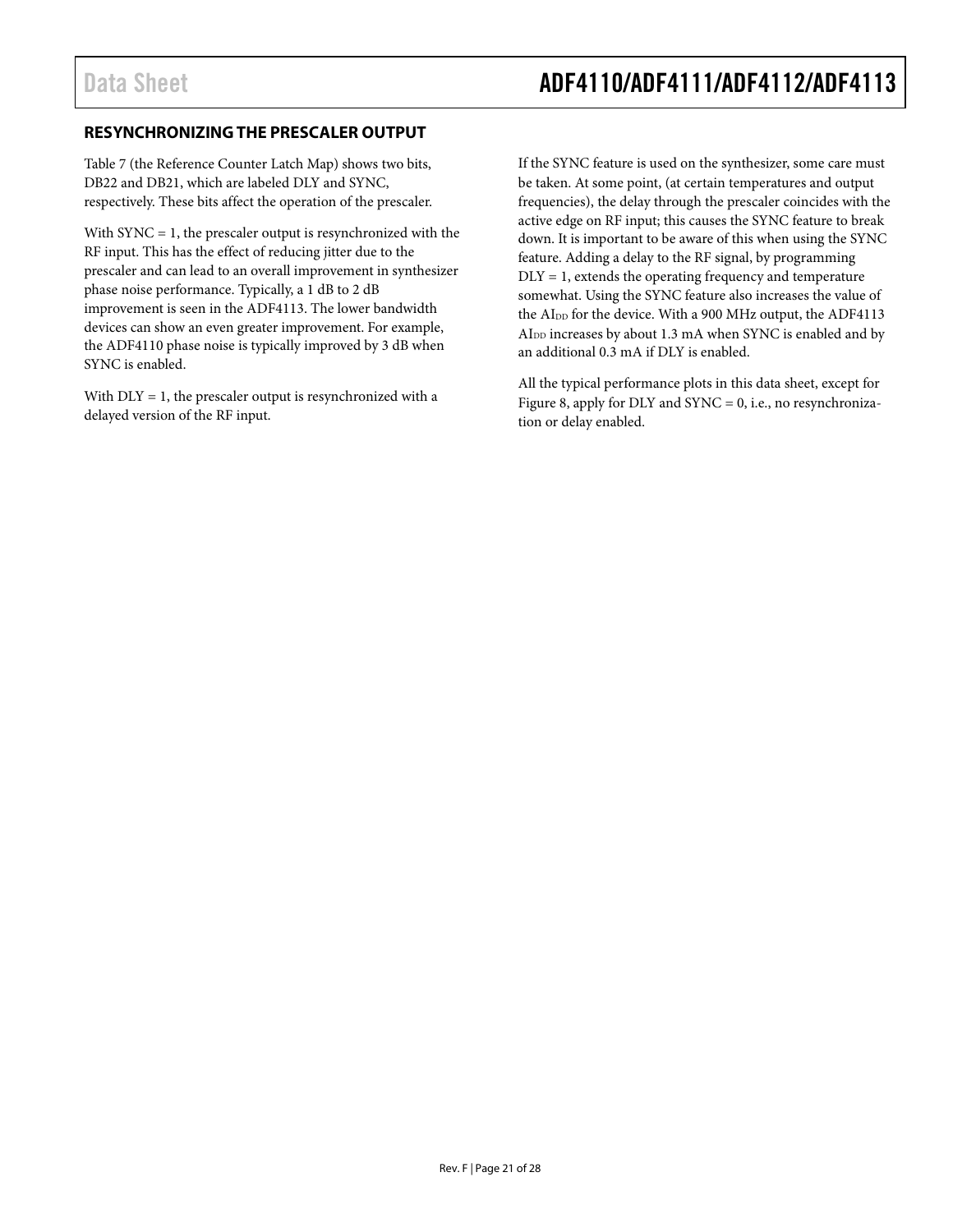## <span id="page-20-0"></span>**RESYNCHRONIZING THE PRESCALER OUTPUT**

[Table 7](#page-14-0) (the Reference Counter Latch Map) shows two bits, DB22 and DB21, which are labeled DLY and SYNC, respectively. These bits affect the operation of the prescaler.

With  $SYNC = 1$ , the prescaler output is resynchronized with the RF input. This has the effect of reducing jitter due to the prescaler and can lead to an overall improvement in synthesizer phase noise performance. Typically, a 1 dB to 2 dB improvement is seen in the ADF4113. The lower bandwidth devices can show an even greater improvement. For example, the ADF4110 phase noise is typically improved by 3 dB when SYNC is enabled.

With DLY = 1, the prescaler output is resynchronized with a delayed version of the RF input.

If the SYNC feature is used on the synthesizer, some care must be taken. At some point, (at certain temperatures and output frequencies), the delay through the prescaler coincides with the active edge on RF input; this causes the SYNC feature to break down. It is important to be aware of this when using the SYNC feature. Adding a delay to the RF signal, by programming  $DLY = 1$ , extends the operating frequency and temperature somewhat. Using the SYNC feature also increases the value of the AI<sub>DD</sub> for the device. With a 900 MHz output, the ADF4113 AIDD increases by about 1.3 mA when SYNC is enabled and by an additional 0.3 mA if DLY is enabled.

All the typical performance plots in this data sheet, except for [Figure 8,](#page-7-1) apply for DLY and  $SYNC = 0$ , i.e., no resynchronization or delay enabled.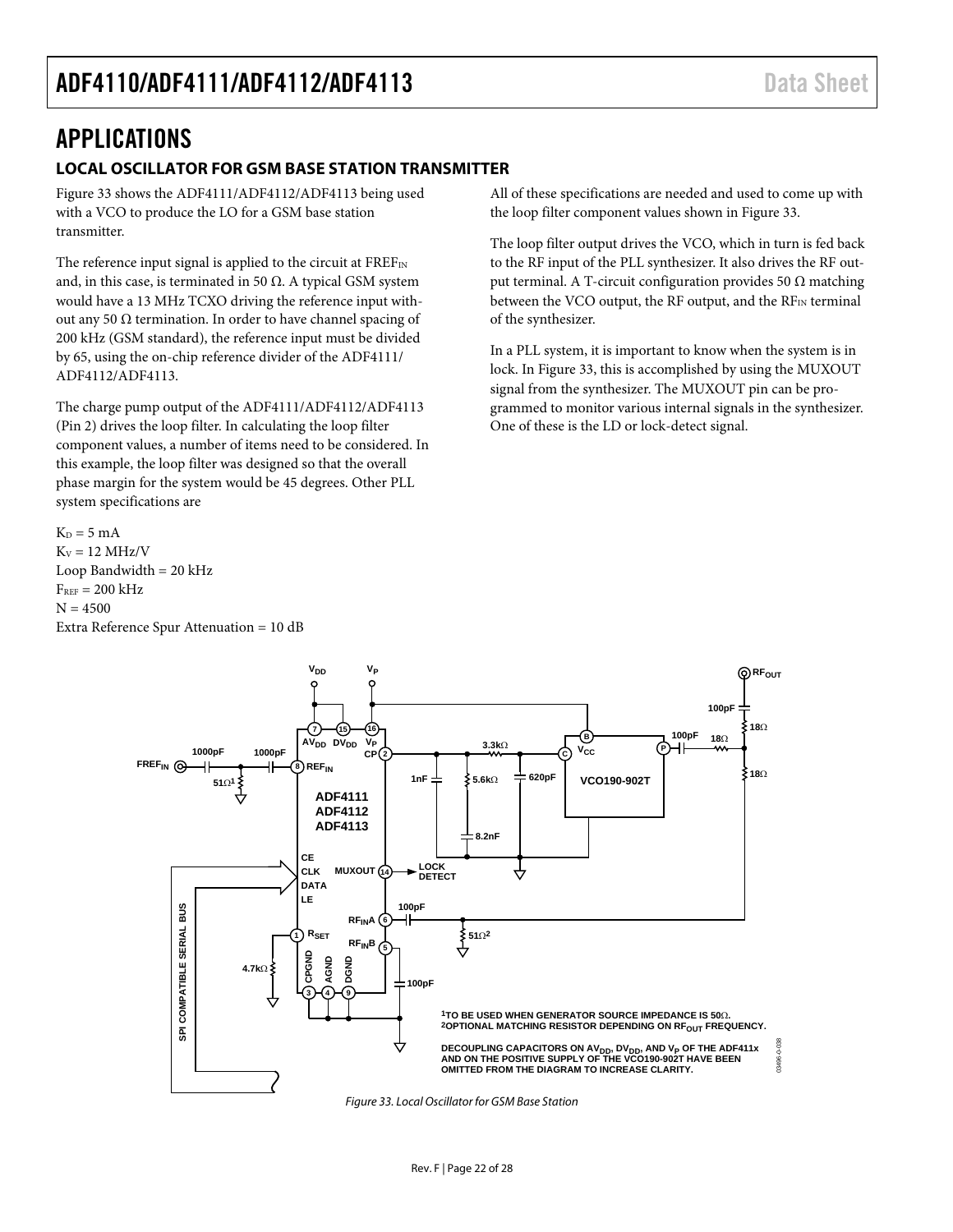# <span id="page-21-0"></span>APPLICATIONS

### <span id="page-21-1"></span>**LOCAL OSCILLATOR FOR GSM BASE STATION TRANSMITTER**

[Figure 33](#page-21-2) shows the ADF4111/ADF4112/ADF4113 being used with a VCO to produce the LO for a GSM base station transmitter.

The reference input signal is applied to the circuit at  $FREF_{IN}$ and, in this case, is terminated in 50  $\Omega$ . A typical GSM system would have a 13 MHz TCXO driving the reference input without any 50 Ω termination. In order to have channel spacing of 200 kHz (GSM standard), the reference input must be divided by 65, using the on-chip reference divider of the ADF4111/ ADF4112/ADF4113.

The charge pump output of the ADF4111/ADF4112/ADF4113 (Pin 2) drives the loop filter. In calculating the loop filter component values, a number of items need to be considered. In this example, the loop filter was designed so that the overall phase margin for the system would be 45 degrees. Other PLL system specifications are

 $K_D = 5$  mA  $K_v = 12$  MHz/V Loop Bandwidth  $= 20$  kHz  $F_{REF} = 200$  kHz  $N = 4500$ Extra Reference Spur Attenuation = 10 dB

All of these specifications are needed and used to come up with the loop filter component values shown in [Figure 33.](#page-21-2)

The loop filter output drives the VCO, which in turn is fed back to the RF input of the PLL synthesizer. It also drives the RF output terminal. A T-circuit configuration provides 50 Ω matching between the VCO output, the RF output, and the  $RF_{IN}$  terminal of the synthesizer.

In a PLL system, it is important to know when the system is in lock. In [Figure 33,](#page-21-2) this is accomplished by using the MUXOUT signal from the synthesizer. The MUXOUT pin can be programmed to monitor various internal signals in the synthesizer. One of these is the LD or lock-detect signal.

<span id="page-21-2"></span>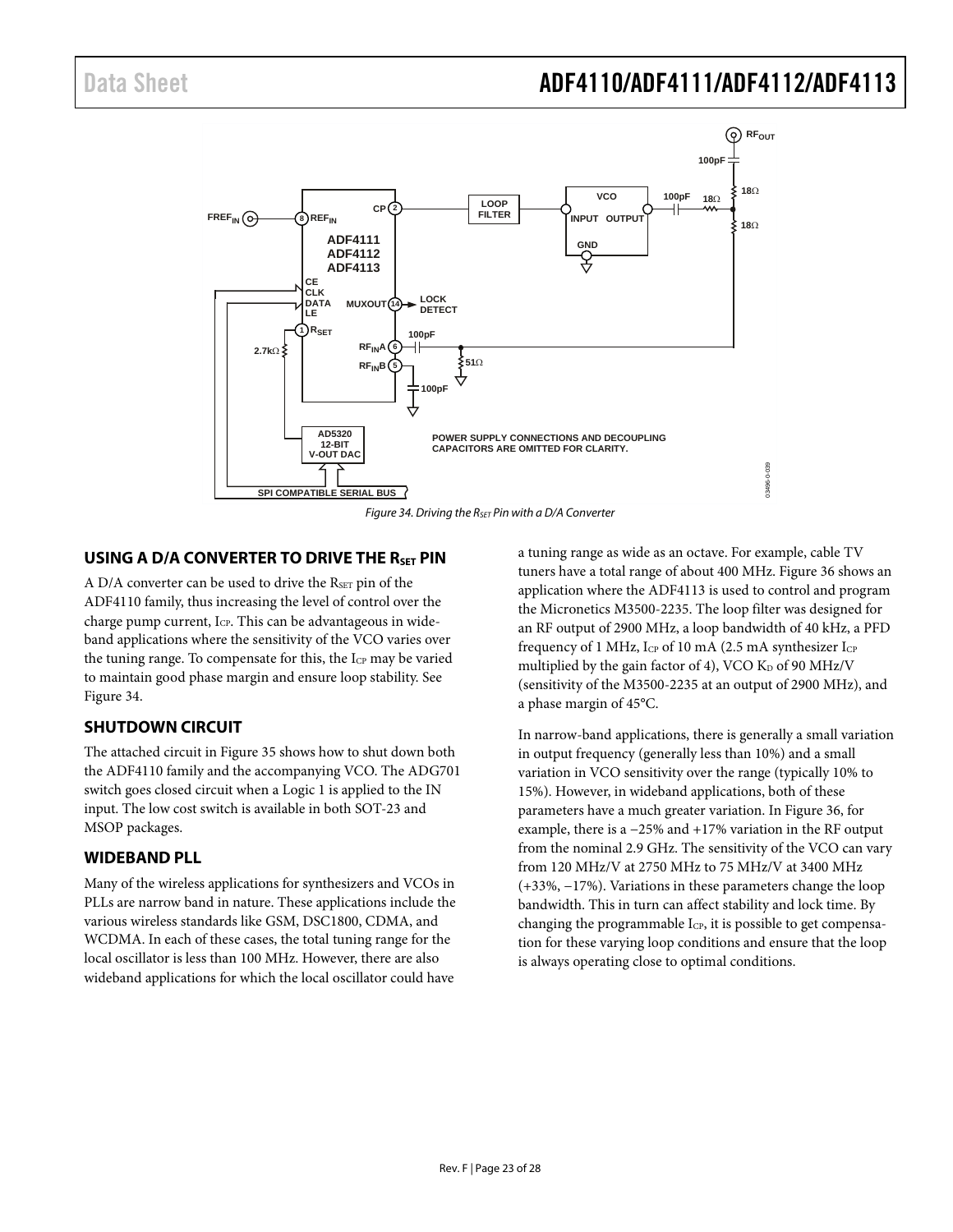

*Figure 34. Driving the RSET Pin with a D/A Converter*

### <span id="page-22-3"></span><span id="page-22-0"></span>**USING A D/A CONVERTER TO DRIVE THE RSET PIN**

A D/A converter can be used to drive the RSET pin of the ADF4110 family, thus increasing the level of control over the charge pump current, ICP. This can be advantageous in wideband applications where the sensitivity of the VCO varies over the tuning range. To compensate for this, the I<sub>CP</sub> may be varied to maintain good phase margin and ensure loop stability. See [Figure 34.](#page-22-3)

### <span id="page-22-1"></span>**SHUTDOWN CIRCUIT**

The attached circuit i[n Figure 35](#page-23-0) shows how to shut down both the ADF4110 family and the accompanying VCO. The ADG701 switch goes closed circuit when a Logic 1 is applied to the IN input. The low cost switch is available in both SOT-23 and MSOP packages.

#### <span id="page-22-2"></span>**WIDEBAND PLL**

Many of the wireless applications for synthesizers and VCOs in PLLs are narrow band in nature. These applications include the various wireless standards like GSM, DSC1800, CDMA, and WCDMA. In each of these cases, the total tuning range for the local oscillator is less than 100 MHz. However, there are also wideband applications for which the local oscillator could have

a tuning range as wide as an octave. For example, cable TV tuners have a total range of about 400 MHz. [Figure 36](#page-23-1) shows an application where the ADF4113 is used to control and program the Micronetics M3500-2235. The loop filter was designed for an RF output of 2900 MHz, a loop bandwidth of 40 kHz, a PFD frequency of 1 MHz,  $I_{CP}$  of 10 mA (2.5 mA synthesizer  $I_{CP}$ multiplied by the gain factor of 4), VCO  $K_D$  of 90 MHz/V (sensitivity of the M3500-2235 at an output of 2900 MHz), and a phase margin of 45°C.

In narrow-band applications, there is generally a small variation in output frequency (generally less than 10%) and a small variation in VCO sensitivity over the range (typically 10% to 15%). However, in wideband applications, both of these parameters have a much greater variation. I[n Figure 36,](#page-23-1) for example, there is a −25% and +17% variation in the RF output from the nominal 2.9 GHz. The sensitivity of the VCO can vary from 120 MHz/V at 2750 MHz to 75 MHz/V at 3400 MHz (+33%, −17%). Variations in these parameters change the loop bandwidth. This in turn can affect stability and lock time. By changing the programmable  $I_{CP}$ , it is possible to get compensation for these varying loop conditions and ensure that the loop is always operating close to optimal conditions.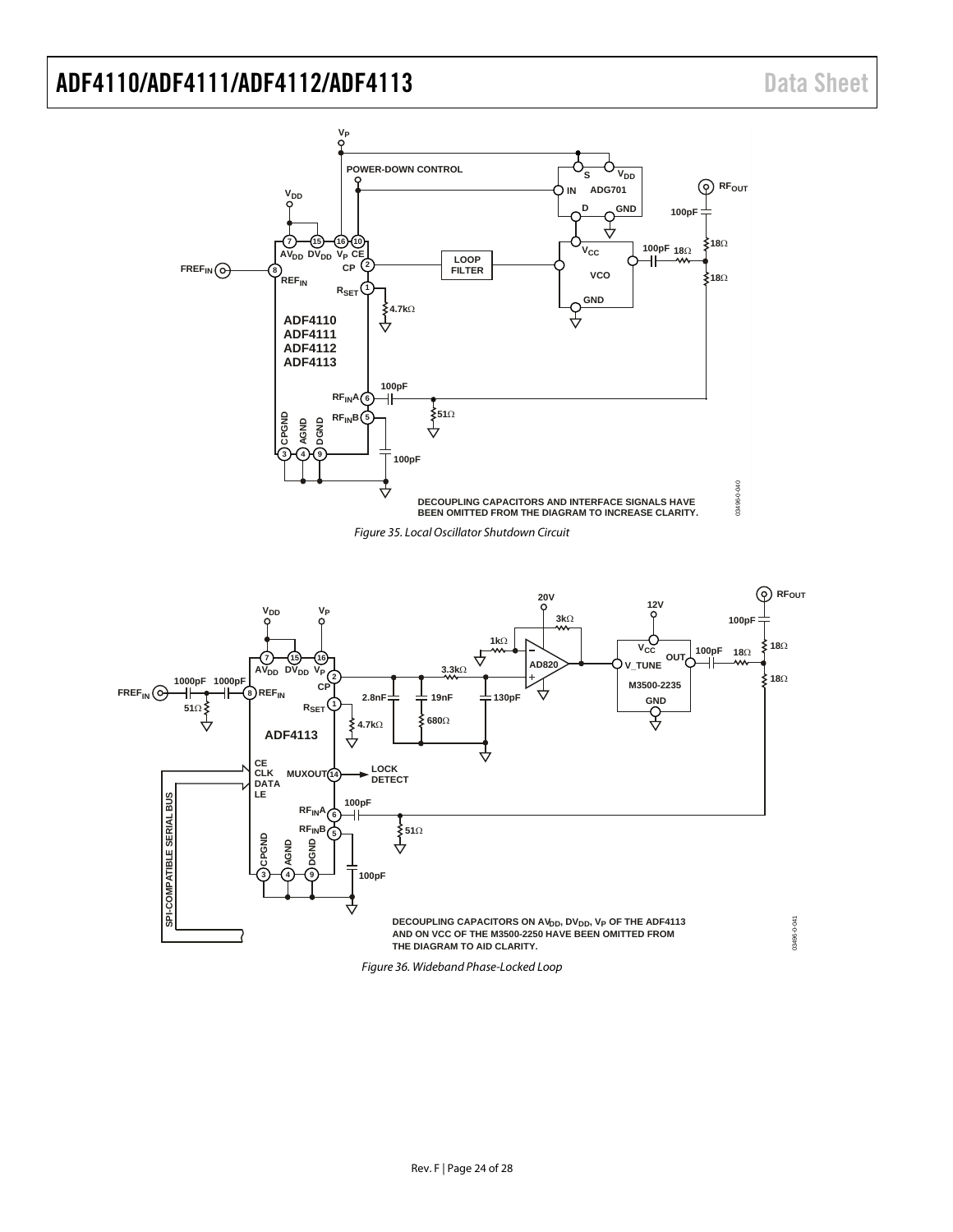

<span id="page-23-0"></span>

<span id="page-23-1"></span>*Figure 36. Wideband Phase-Locked Loop*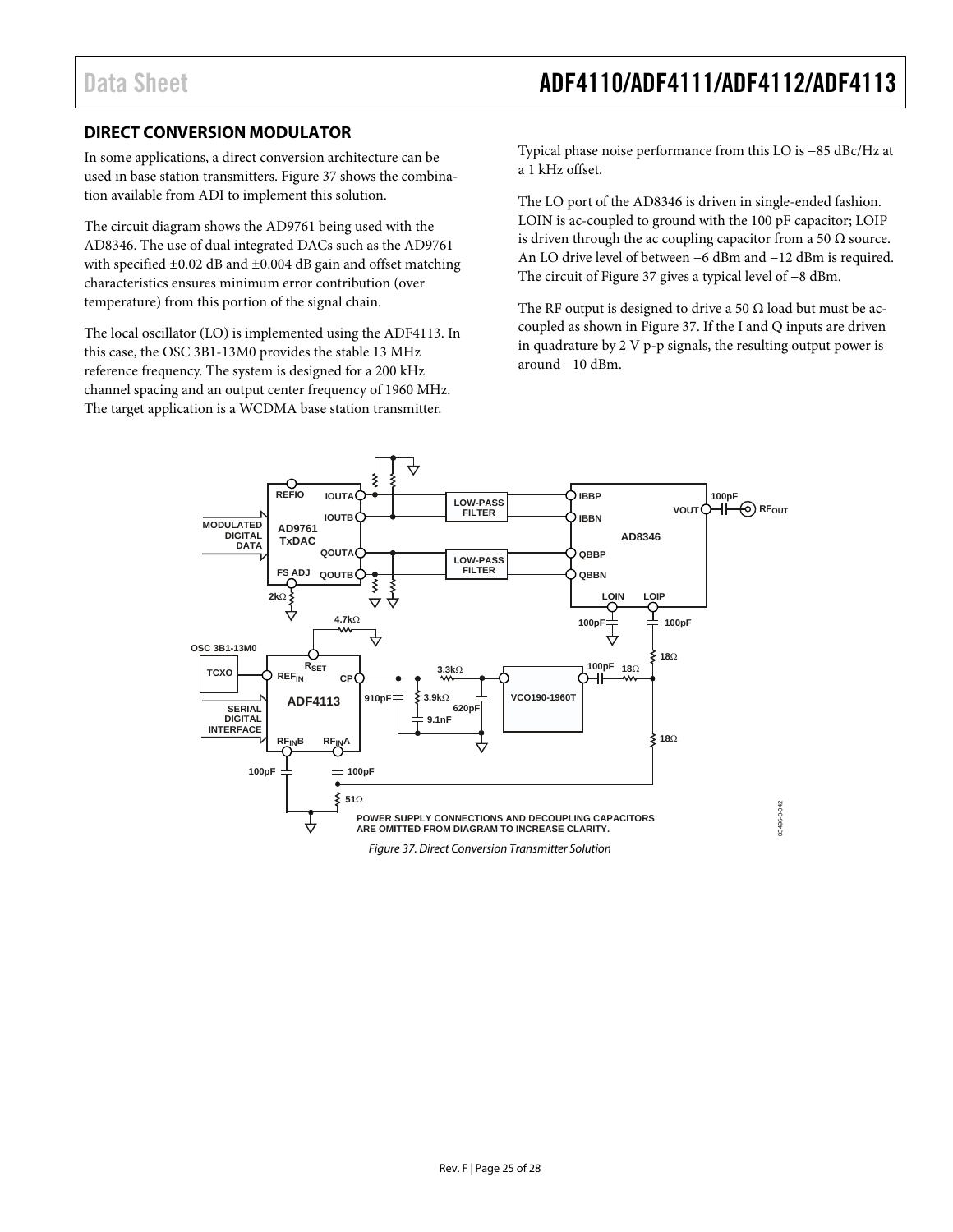### <span id="page-24-0"></span>**DIRECT CONVERSION MODULATOR**

In some applications, a direct conversion architecture can be used in base station transmitters[. Figure 37](#page-24-1) shows the combination available from ADI to implement this solution.

The circuit diagram shows the AD9761 being used with the AD8346. The use of dual integrated DACs such as the AD9761 with specified ±0.02 dB and ±0.004 dB gain and offset matching characteristics ensures minimum error contribution (over temperature) from this portion of the signal chain.

The local oscillator (LO) is implemented using the ADF4113. In this case, the OSC 3B1-13M0 provides the stable 13 MHz reference frequency. The system is designed for a 200 kHz channel spacing and an output center frequency of 1960 MHz. The target application is a WCDMA base station transmitter.

Typical phase noise performance from this LO is −85 dBc/Hz at a 1 kHz offset.

The LO port of the AD8346 is driven in single-ended fashion. LOIN is ac-coupled to ground with the 100 pF capacitor; LOIP is driven through the ac coupling capacitor from a 50  $\Omega$  source. An LO drive level of between −6 dBm and −12 dBm is required. The circuit o[f Figure 37](#page-24-1) gives a typical level of −8 dBm.

The RF output is designed to drive a 50  $\Omega$  load but must be accoupled as shown in [Figure 37.](#page-24-1) If the I and Q inputs are driven in quadrature by 2 V p-p signals, the resulting output power is around −10 dBm.

<span id="page-24-1"></span>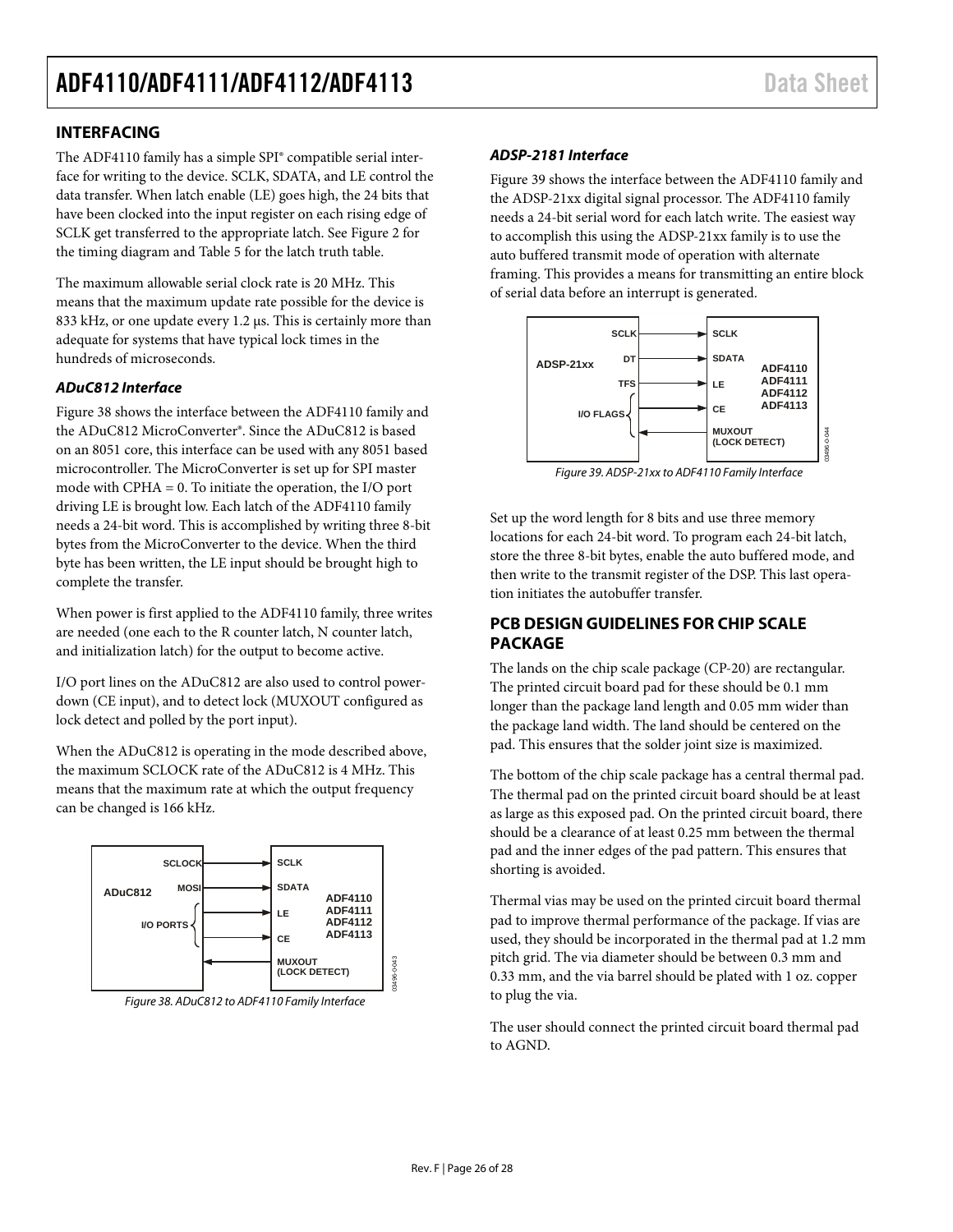### <span id="page-25-0"></span>**INTERFACING**

The ADF4110 family has a simple SPI® compatible serial interface for writing to the device. SCLK, SDATA, and LE control the data transfer. When latch enable (LE) goes high, the 24 bits that have been clocked into the input register on each rising edge of SCLK get transferred to the appropriate latch. Se[e Figure 2](#page-4-3) for the timing diagram and [Table 5](#page-12-5) for the latch truth table.

The maximum allowable serial clock rate is 20 MHz. This means that the maximum update rate possible for the device is 833 kHz, or one update every 1.2 µs. This is certainly more than adequate for systems that have typical lock times in the hundreds of microseconds.

### *ADuC812 Interface*

[Figure 38](#page-25-2) shows the interface between the ADF4110 family and the ADuC812 MicroConverter®. Since the ADuC812 is based on an 8051 core, this interface can be used with any 8051 based microcontroller. The MicroConverter is set up for SPI master mode with CPHA = 0. To initiate the operation, the I/O port driving LE is brought low. Each latch of the ADF4110 family needs a 24-bit word. This is accomplished by writing three 8-bit bytes from the MicroConverter to the device. When the third byte has been written, the LE input should be brought high to complete the transfer.

When power is first applied to the ADF4110 family, three writes are needed (one each to the R counter latch, N counter latch, and initialization latch) for the output to become active.

I/O port lines on the ADuC812 are also used to control powerdown (CE input), and to detect lock (MUXOUT configured as lock detect and polled by the port input).

When the ADuC812 is operating in the mode described above, the maximum SCLOCK rate of the ADuC812 is 4 MHz. This means that the maximum rate at which the output frequency can be changed is 166 kHz.



<span id="page-25-2"></span>*Figure 38. ADuC812 to ADF4110 Family Interface*

### *ADSP-2181 Interface*

[Figure 39](#page-25-3) shows the interface between the ADF4110 family and the ADSP-21xx digital signal processor. The ADF4110 family needs a 24-bit serial word for each latch write. The easiest way to accomplish this using the ADSP-21xx family is to use the auto buffered transmit mode of operation with alternate framing. This provides a means for transmitting an entire block of serial data before an interrupt is generated.



*Figure 39. ADSP-21xx to ADF4110 Family Interface*

<span id="page-25-3"></span>Set up the word length for 8 bits and use three memory locations for each 24-bit word. To program each 24-bit latch, store the three 8-bit bytes, enable the auto buffered mode, and then write to the transmit register of the DSP. This last operation initiates the autobuffer transfer.

## <span id="page-25-1"></span>**PCB DESIGN GUIDELINES FOR CHIP SCALE PACKAGE**

The lands on the chip scale package (CP-20) are rectangular. The printed circuit board pad for these should be 0.1 mm longer than the package land length and 0.05 mm wider than the package land width. The land should be centered on the pad. This ensures that the solder joint size is maximized.

The bottom of the chip scale package has a central thermal pad. The thermal pad on the printed circuit board should be at least as large as this exposed pad. On the printed circuit board, there should be a clearance of at least 0.25 mm between the thermal pad and the inner edges of the pad pattern. This ensures that shorting is avoided.

Thermal vias may be used on the printed circuit board thermal pad to improve thermal performance of the package. If vias are used, they should be incorporated in the thermal pad at 1.2 mm pitch grid. The via diameter should be between 0.3 mm and 0.33 mm, and the via barrel should be plated with 1 oz. copper to plug the via.

The user should connect the printed circuit board thermal pad to AGND.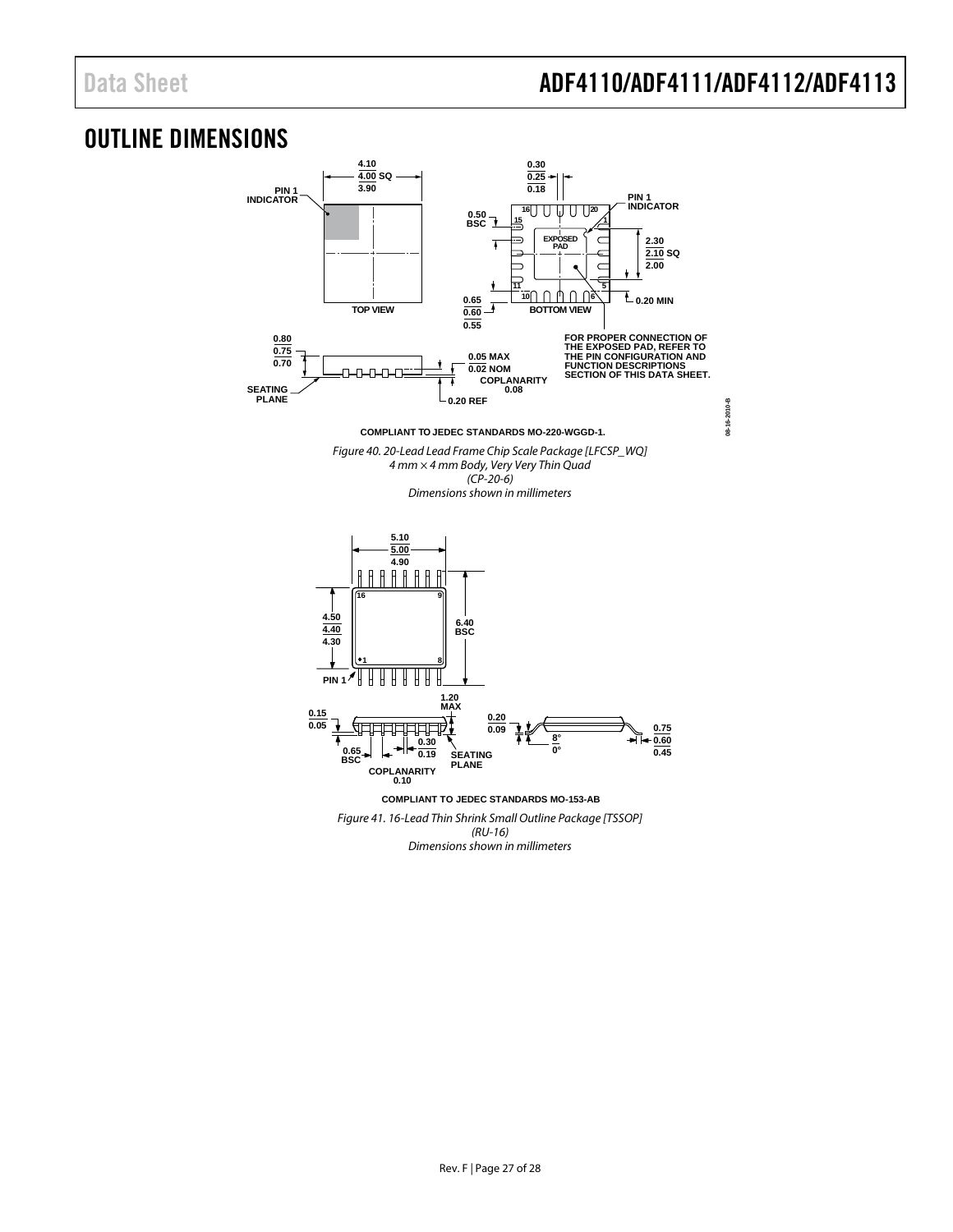**08-16-2010-B**

08-16-2010-B

# <span id="page-26-0"></span>OUTLINE DIMENSIONS